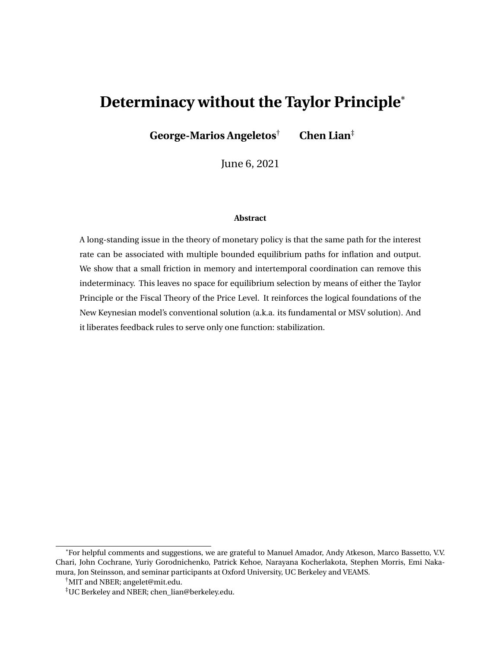# **Determinacy without the Taylor Principle**\*

**George-Marios Angeletos**† **Chen Lian**‡

June 6, 2021

#### **Abstract**

A long-standing issue in the theory of monetary policy is that the same path for the interest rate can be associated with multiple bounded equilibrium paths for inflation and output. We show that a small friction in memory and intertemporal coordination can remove this indeterminacy. This leaves no space for equilibrium selection by means of either the Taylor Principle or the Fiscal Theory of the Price Level. It reinforces the logical foundations of the New Keynesian model's conventional solution (a.k.a. its fundamental or MSV solution). And it liberates feedback rules to serve only one function: stabilization.

<sup>\*</sup>For helpful comments and suggestions, we are grateful to Manuel Amador, Andy Atkeson, Marco Bassetto, V.V. Chari, John Cochrane, Yuriy Gorodnichenko, Patrick Kehoe, Narayana Kocherlakota, Stephen Morris, Emi Nakamura, Jon Steinsson, and seminar participants at Oxford University, UC Berkeley and VEAMS.

<sup>†</sup>MIT and NBER; angelet@mit.edu.

<sup>‡</sup>UC Berkeley and NBER; chen\_lian@berkeley.edu.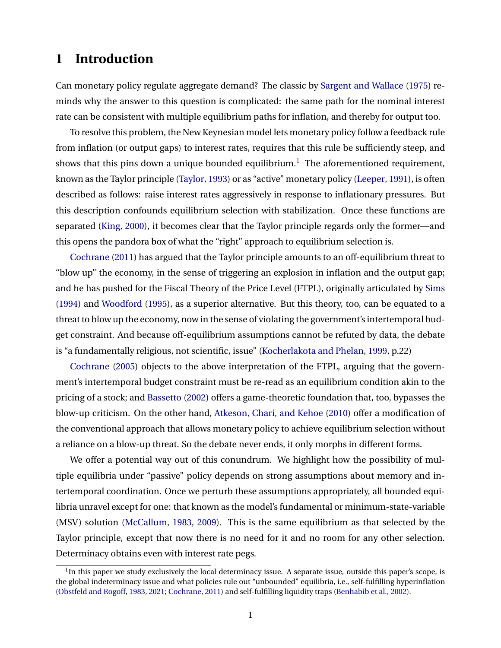# **1 Introduction**

Can monetary policy regulate aggregate demand? The classic by [Sargent and Wallace](#page-39-0) [\(1975\)](#page-39-0) reminds why the answer to this question is complicated: the same path for the nominal interest rate can be consistent with multiple equilibrium paths for inflation, and thereby for output too.

To resolve this problem, the New Keynesian model lets monetary policy follow a feedback rule from inflation (or output gaps) to interest rates, requires that this rule be sufficiently steep, and shows that this pins down a unique bounded equilibrium.<sup>[1](#page-1-0)</sup> The aforementioned requirement, known as the Taylor principle [\(Taylor,](#page-39-1) [1993\)](#page-39-1) or as "active" monetary policy [\(Leeper,](#page-38-0) [1991\)](#page-38-0), is often described as follows: raise interest rates aggressively in response to inflationary pressures. But this description confounds equilibrium selection with stabilization. Once these functions are separated [\(King,](#page-38-1) [2000\)](#page-38-1), it becomes clear that the Taylor principle regards only the former—and this opens the pandora box of what the "right" approach to equilibrium selection is.

[Cochrane](#page-37-0) [\(2011\)](#page-37-0) has argued that the Taylor principle amounts to an off-equilibrium threat to "blow up" the economy, in the sense of triggering an explosion in inflation and the output gap; and he has pushed for the Fiscal Theory of the Price Level (FTPL), originally articulated by [Sims](#page-39-2) [\(1994\)](#page-39-2) and [Woodford](#page-39-3) [\(1995\)](#page-39-3), as a superior alternative. But this theory, too, can be equated to a threat to blow up the economy, now in the sense of violating the government's intertemporal budget constraint. And because off-equilibrium assumptions cannot be refuted by data, the debate is "a fundamentally religious, not scientific, issue" [\(Kocherlakota and Phelan,](#page-38-2) [1999,](#page-38-2) p.22)

[Cochrane](#page-37-1) [\(2005\)](#page-37-1) objects to the above interpretation of the FTPL, arguing that the government's intertemporal budget constraint must be re-read as an equilibrium condition akin to the pricing of a stock; and [Bassetto](#page-36-0) [\(2002\)](#page-36-0) offers a game-theoretic foundation that, too, bypasses the blow-up criticism. On the other hand, [Atkeson, Chari, and Kehoe](#page-36-1) [\(2010\)](#page-36-1) offer a modification of the conventional approach that allows monetary policy to achieve equilibrium selection without a reliance on a blow-up threat. So the debate never ends, it only morphs in different forms.

We offer a potential way out of this conundrum. We highlight how the possibility of multiple equilibria under "passive" policy depends on strong assumptions about memory and intertemporal coordination. Once we perturb these assumptions appropriately, all bounded equilibria unravel except for one: that known as the model's fundamental or minimum-state-variable (MSV) solution [\(McCallum,](#page-38-3) [1983,](#page-38-3) [2009\)](#page-38-4). This is the same equilibrium as that selected by the Taylor principle, except that now there is no need for it and no room for any other selection. Determinacy obtains even with interest rate pegs.

<span id="page-1-0"></span> $1$ In this paper we study exclusively the local determinacy issue. A separate issue, outside this paper's scope, is the global indeterminacy issue and what policies rule out "unbounded" equilibria, i.e., self-fulfilling hyperinflation [\(Obstfeld and Rogoff,](#page-39-4) [1983,](#page-39-4) [2021;](#page-39-5) [Cochrane,](#page-37-0) [2011\)](#page-37-0) and self-fulfilling liquidity traps [\(Benhabib et al.,](#page-36-2) [2002\)](#page-36-2).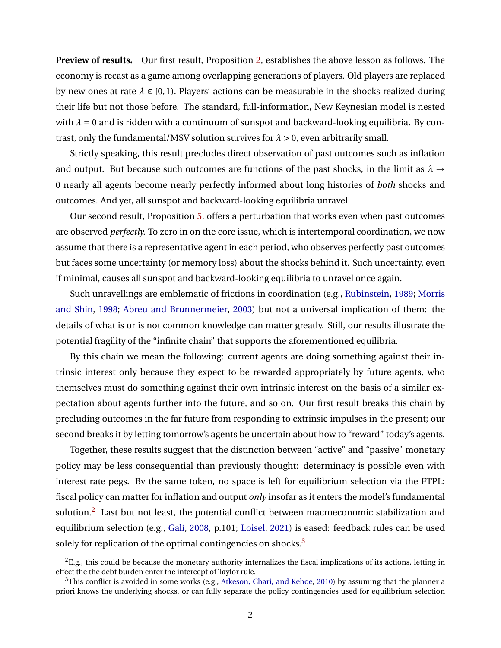**Preview of results.** Our first result, Proposition [2,](#page-12-0) establishes the above lesson as follows. The economy is recast as a game among overlapping generations of players. Old players are replaced by new ones at rate  $\lambda \in [0,1)$ . Players' actions can be measurable in the shocks realized during their life but not those before. The standard, full-information, New Keynesian model is nested with  $\lambda = 0$  and is ridden with a continuum of sunspot and backward-looking equilibria. By contrast, only the fundamental/MSV solution survives for  $\lambda > 0$ , even arbitrarily small.

Strictly speaking, this result precludes direct observation of past outcomes such as inflation and output. But because such outcomes are functions of the past shocks, in the limit as  $\lambda \rightarrow$ 0 nearly all agents become nearly perfectly informed about long histories of *both* shocks and outcomes. And yet, all sunspot and backward-looking equilibria unravel.

Our second result, Proposition [5,](#page-21-0) offers a perturbation that works even when past outcomes are observed *perfectly.* To zero in on the core issue, which is intertemporal coordination, we now assume that there is a representative agent in each period, who observes perfectly past outcomes but faces some uncertainty (or memory loss) about the shocks behind it. Such uncertainty, even if minimal, causes all sunspot and backward-looking equilibria to unravel once again.

Such unravellings are emblematic of frictions in coordination (e.g., [Rubinstein,](#page-39-6) [1989;](#page-39-6) [Morris](#page-38-5) [and Shin,](#page-38-5) [1998;](#page-38-5) [Abreu and Brunnermeier,](#page-36-3) [2003\)](#page-36-3) but not a universal implication of them: the details of what is or is not common knowledge can matter greatly. Still, our results illustrate the potential fragility of the "infinite chain" that supports the aforementioned equilibria.

By this chain we mean the following: current agents are doing something against their intrinsic interest only because they expect to be rewarded appropriately by future agents, who themselves must do something against their own intrinsic interest on the basis of a similar expectation about agents further into the future, and so on. Our first result breaks this chain by precluding outcomes in the far future from responding to extrinsic impulses in the present; our second breaks it by letting tomorrow's agents be uncertain about how to "reward" today's agents.

Together, these results suggest that the distinction between "active" and "passive" monetary policy may be less consequential than previously thought: determinacy is possible even with interest rate pegs. By the same token, no space is left for equilibrium selection via the FTPL: fiscal policy can matter for inflation and output *only* insofar as it enters the model's fundamental solution.<sup>[2](#page-2-0)</sup> Last but not least, the potential conflict between macroeconomic stabilization and equilibrium selection (e.g., [Galí,](#page-37-2) [2008,](#page-37-2) p.101; [Loisel,](#page-38-6) [2021\)](#page-38-6) is eased: feedback rules can be used solely for replication of the optimal contingencies on shocks.<sup>[3](#page-2-1)</sup>

<span id="page-2-0"></span> ${}^{2}E$ .g., this could be because the monetary authority internalizes the fiscal implications of its actions, letting in effect the the debt burden enter the intercept of Taylor rule.

<span id="page-2-1"></span> $3$ This conflict is avoided in some works (e.g., [Atkeson, Chari, and Kehoe,](#page-36-1) [2010\)](#page-36-1) by assuming that the planner a priori knows the underlying shocks, or can fully separate the policy contingencies used for equilibrium selection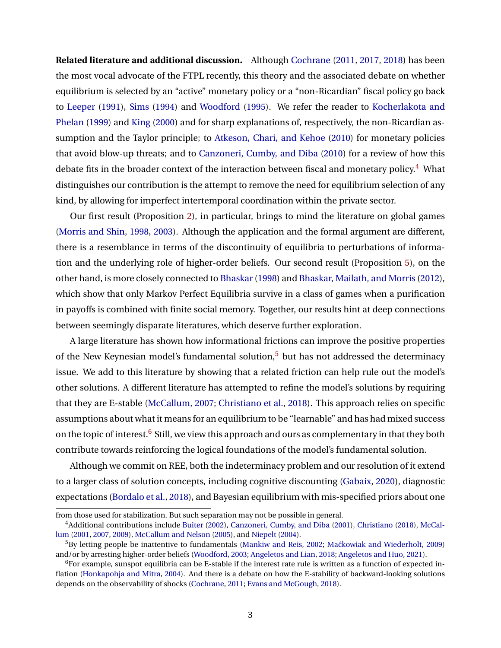**Related literature and additional discussion.** Although [Cochrane](#page-37-0) [\(2011,](#page-37-0) [2017,](#page-37-3) [2018\)](#page-37-4) has been the most vocal advocate of the FTPL recently, this theory and the associated debate on whether equilibrium is selected by an "active" monetary policy or a "non-Ricardian" fiscal policy go back to [Leeper](#page-38-0) [\(1991\)](#page-38-0), [Sims](#page-39-2) [\(1994\)](#page-39-2) and [Woodford](#page-39-3) [\(1995\)](#page-39-3). We refer the reader to [Kocherlakota and](#page-38-2) [Phelan](#page-38-2) [\(1999\)](#page-38-2) and [King](#page-38-1) [\(2000\)](#page-38-1) and for sharp explanations of, respectively, the non-Ricardian assumption and the Taylor principle; to [Atkeson, Chari, and Kehoe](#page-36-1) [\(2010\)](#page-36-1) for monetary policies that avoid blow-up threats; and to [Canzoneri, Cumby, and Diba](#page-37-5) [\(2010\)](#page-37-5) for a review of how this debate fits in the broader context of the interaction between fiscal and monetary policy.<sup>[4](#page-3-0)</sup> What distinguishes our contribution is the attempt to remove the need for equilibrium selection of any kind, by allowing for imperfect intertemporal coordination within the private sector.

Our first result (Proposition [2\)](#page-12-0), in particular, brings to mind the literature on global games [\(Morris and Shin,](#page-38-5) [1998,](#page-38-5) [2003\)](#page-38-7). Although the application and the formal argument are different, there is a resemblance in terms of the discontinuity of equilibria to perturbations of information and the underlying role of higher-order beliefs. Our second result (Proposition [5\)](#page-21-0), on the other hand, is more closely connected to [Bhaskar\(1998\)](#page-36-4) and [Bhaskar, Mailath, and Morris](#page-36-5) [\(2012\)](#page-36-5), which show that only Markov Perfect Equilibria survive in a class of games when a purification in payoffs is combined with finite social memory. Together, our results hint at deep connections between seemingly disparate literatures, which deserve further exploration.

A large literature has shown how informational frictions can improve the positive properties of the New Keynesian model's fundamental solution,<sup>[5](#page-3-1)</sup> but has not addressed the determinacy issue. We add to this literature by showing that a related friction can help rule out the model's other solutions. A different literature has attempted to refine the model's solutions by requiring that they are E-stable [\(McCallum,](#page-38-8) [2007;](#page-38-8) [Christiano et al.,](#page-37-6) [2018\)](#page-37-6). This approach relies on specific assumptions about what it means for an equilibrium to be "learnable" and has had mixed success on the topic of interest.<sup>[6](#page-3-2)</sup> Still, we view this approach and ours as complementary in that they both contribute towards reinforcing the logical foundations of the model's fundamental solution.

Although we commit on REE, both the indeterminacy problem and our resolution of it extend to a larger class of solution concepts, including cognitive discounting [\(Gabaix,](#page-37-7) [2020\)](#page-37-7), diagnostic expectations [\(Bordalo et al.,](#page-36-6) [2018\)](#page-36-6), and Bayesian equilibrium with mis-specified priors about one

from those used for stabilization. But such separation may not be possible in general.

<span id="page-3-0"></span><sup>4</sup>Additional contributions include [Buiter](#page-37-8) [\(2002\)](#page-37-8), [Canzoneri, Cumby, and Diba](#page-37-9) [\(2001\)](#page-37-9), [Christiano](#page-37-10) [\(2018\)](#page-37-10), [McCal](#page-38-9)[lum](#page-38-9) [\(2001,](#page-38-9) [2007,](#page-38-8) [2009\)](#page-38-4), [McCallum and Nelson](#page-38-10) [\(2005\)](#page-38-10), and [Niepelt](#page-39-7) [\(2004\)](#page-39-7).

<span id="page-3-1"></span><sup>&</sup>lt;sup>5</sup>By letting people be inattentive to fundamentals [\(Mankiw and Reis,](#page-38-11) [2002;](#page-38-11) Maćkowiak and Wiederholt, [2009\)](#page-38-12) and/or by arresting higher-order beliefs [\(Woodford,](#page-39-8) [2003;](#page-39-8) [Angeletos and Lian,](#page-36-7) [2018;](#page-36-7) [Angeletos and Huo,](#page-36-8) [2021\)](#page-36-8).

<span id="page-3-2"></span> $6$ For example, sunspot equilibria can be E-stable if the interest rate rule is written as a function of expected inflation [\(Honkapohja and Mitra,](#page-38-13) [2004\)](#page-38-13). And there is a debate on how the E-stability of backward-looking solutions depends on the observability of shocks [\(Cochrane,](#page-37-0) [2011;](#page-37-0) [Evans and McGough,](#page-37-11) [2018\)](#page-37-11).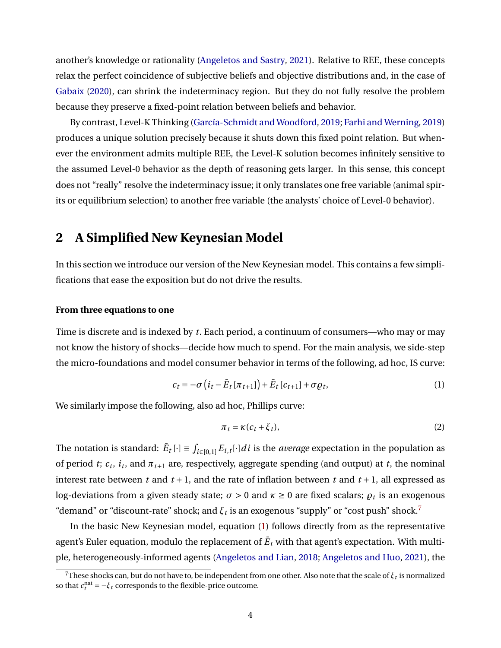another's knowledge or rationality [\(Angeletos and Sastry,](#page-36-9) [2021\)](#page-36-9). Relative to REE, these concepts relax the perfect coincidence of subjective beliefs and objective distributions and, in the case of [Gabaix](#page-37-7) [\(2020\)](#page-37-7), can shrink the indeterminacy region. But they do not fully resolve the problem because they preserve a fixed-point relation between beliefs and behavior.

By contrast, Level-K Thinking [\(García-Schmidt and Woodford,](#page-37-12) [2019;](#page-37-12) [Farhi and Werning,](#page-37-13) [2019\)](#page-37-13) produces a unique solution precisely because it shuts down this fixed point relation. But whenever the environment admits multiple REE, the Level-K solution becomes infinitely sensitive to the assumed Level-0 behavior as the depth of reasoning gets larger. In this sense, this concept does not "really" resolve the indeterminacy issue; it only translates one free variable (animal spirits or equilibrium selection) to another free variable (the analysts' choice of Level-0 behavior).

# <span id="page-4-3"></span>**2 A Simplified New Keynesian Model**

In this section we introduce our version of the New Keynesian model. This contains a few simplifications that ease the exposition but do not drive the results.

# **From three equations to one**

Time is discrete and is indexed by *t*. Each period, a continuum of consumers—who may or may not know the history of shocks—decide how much to spend. For the main analysis, we side-step the micro-foundations and model consumer behavior in terms of the following, ad hoc, IS curve:

<span id="page-4-1"></span>
$$
c_t = -\sigma \left(i_t - \bar{E}_t \left[\pi_{t+1}\right]\right) + \bar{E}_t \left[c_{t+1}\right] + \sigma \varrho_t, \tag{1}
$$

We similarly impose the following, also ad hoc, Phillips curve:

<span id="page-4-2"></span>
$$
\pi_t = \kappa (c_t + \xi_t),\tag{2}
$$

The notation is standard:  $\bar{E}_t[\cdot] \equiv \int_{i \in [0,1]} E_{i,t}[\cdot] dt$  is the *average* expectation in the population as of period *t*;  $c_t$ ,  $i_t$ , and  $\pi_{t+1}$  are, respectively, aggregate spending (and output) at *t*, the nominal interest rate between  $t$  and  $t + 1$ , and the rate of inflation between  $t$  and  $t + 1$ , all expressed as log-deviations from a given steady state;  $\sigma > 0$  and  $\kappa \ge 0$  are fixed scalars;  $\rho_t$  is an exogenous "demand" or "discount-rate" shock; and  $\xi_t$  is an exogenous "supply" or "cost push" shock.<sup>[7](#page-4-0)</sup>

In the basic New Keynesian model, equation [\(1\)](#page-4-1) follows directly from as the representative agent's Euler equation, modulo the replacement of  $\bar{E}_t$  with that agent's expectation. With multiple, heterogeneously-informed agents [\(Angeletos and Lian,](#page-36-7) [2018;](#page-36-7) [Angeletos and Huo,](#page-36-8) [2021\)](#page-36-8), the

<span id="page-4-0"></span> $^{7}$ These shocks can, but do not have to, be independent from one other. Also note that the scale of  $\xi_t$  is normalized so that  $c_t^{\text{nat}} = -\xi_t$  corresponds to the flexible-price outcome.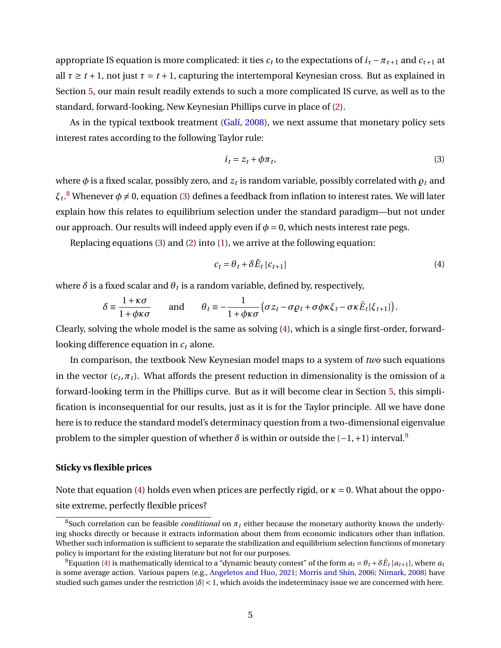appropriate IS equation is more complicated: it ties  $c_t$  to the expectations of  $i_{\tau} - \pi_{\tau+1}$  and  $c_{\tau+1}$  at all  $\tau \geq t + 1$ , not just  $\tau = t + 1$ , capturing the intertemporal Keynesian cross. But as explained in Section [5,](#page-16-0) our main result readily extends to such a more complicated IS curve, as well as to the standard, forward-looking, New Keynesian Phillips curve in place of [\(2\)](#page-4-2).

As in the typical textbook treatment [\(Galí,](#page-37-2) [2008\)](#page-37-2), we next assume that monetary policy sets interest rates according to the following Taylor rule:

<span id="page-5-1"></span>
$$
i_t = z_t + \phi \pi_t,\tag{3}
$$

where  $\phi$  is a fixed scalar, possibly zero, and  $z_t$  is random variable, possibly correlated with  $\varrho_t$  and  $\xi_t$ . $^8$  $^8$  Whenever  $\phi \neq 0$ , equation [\(3\)](#page-5-1) defines a feedback from inflation to interest rates. We will later explain how this relates to equilibrium selection under the standard paradigm—but not under our approach. Our results will indeed apply even if  $\phi = 0$ , which nests interest rate pegs.

Replacing equations [\(3\)](#page-5-1) and [\(2\)](#page-4-2) into [\(1\)](#page-4-1), we arrive at the following equation:

<span id="page-5-2"></span>
$$
c_t = \theta_t + \delta \bar{E}_t \left[ c_{t+1} \right] \tag{4}
$$

where  $\delta$  is a fixed scalar and  $\theta_t$  is a random variable, defined by, respectively,

$$
\delta \equiv \frac{1+\kappa\sigma}{1+\phi\kappa\sigma} \quad \text{and} \quad \theta_t \equiv -\frac{1}{1+\phi\kappa\sigma} \left( \sigma z_t - \sigma \varrho_t + \sigma \phi \kappa \xi_t - \sigma \kappa \bar{E}_t[\xi_{t+1}] \right).
$$

Clearly, solving the whole model is the same as solving [\(4\)](#page-5-2), which is a single first-order, forwardlooking difference equation in *c<sup>t</sup>* alone.

In comparison, the textbook New Keynesian model maps to a system of *two* such equations in the vector ( $c_t, \pi_t$ ). What affords the present reduction in dimensionality is the omission of a forward-looking term in the Phillips curve. But as it will become clear in Section [5,](#page-16-0) this simplification is inconsequential for our results, just as it is for the Taylor principle. All we have done here is to reduce the standard model's determinacy question from a two-dimensional eigenvalue problem to the simpler question of whether  $\delta$  is within or outside the  $(-1, +1)$  interval.<sup>[9](#page-5-3)</sup>

## **Sticky vs flexible prices**

Note that equation [\(4\)](#page-5-2) holds even when prices are perfectly rigid, or *κ* = 0. What about the opposite extreme, perfectly flexible prices?

<span id="page-5-0"></span><sup>&</sup>lt;sup>8</sup>Such correlation can be feasible *conditional* on  $\pi_t$  either because the monetary authority knows the underlying shocks directly or because it extracts information about them from economic indicators other than inflation. Whether such information is sufficient to separate the stabilization and equilibrium selection functions of monetary policy is important for the existing literature but not for our purposes.

<span id="page-5-3"></span> $^9$ Equation [\(4\)](#page-5-2) is mathematically identical to a "dynamic beauty contest" of the form  $a_t$  =  $\theta_t$  +  $\delta \bar{E}_t$  [ $a_{t+1}$ ], where  $a_t$ is some average action. Various papers (e.g., [Angeletos and Huo,](#page-36-8) [2021;](#page-36-8) [Morris and Shin,](#page-38-14) [2006;](#page-38-14) [Nimark,](#page-39-9) [2008\)](#page-39-9) have studied such games under the restriction  $|\delta| < 1$ , which avoids the indeterminacy issue we are concerned with here.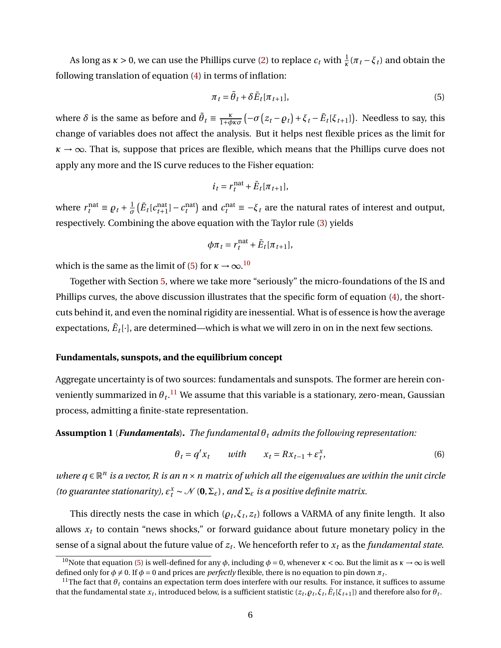As long as  $\kappa > 0$ , we can use the Phillips curve [\(2\)](#page-4-2) to replace  $c_t$  with  $\frac{1}{\kappa}(\pi_t - \xi_t)$  and obtain the following translation of equation [\(4\)](#page-5-2) in terms of inflation:

<span id="page-6-0"></span>
$$
\pi_t = \tilde{\theta}_t + \delta \bar{E}_t[\pi_{t+1}],\tag{5}
$$

where  $\delta$  is the same as before and  $\tilde{\theta}_t \equiv \frac{\kappa}{1+\phi\kappa\sigma} \left(-\sigma\left(z_t-\rho_t\right)+\xi_t-\bar{E}_t[\xi_{t+1}]\right)$ . Needless to say, this change of variables does not affect the analysis. But it helps nest flexible prices as the limit for  $\kappa \rightarrow \infty$ . That is, suppose that prices are flexible, which means that the Phillips curve does not apply any more and the IS curve reduces to the Fisher equation:

$$
i_t = r_t^{\text{nat}} + \bar{E}_t[\pi_{t+1}],
$$

where  $r_t^{\text{nat}} \equiv \rho_t + \frac{1}{\sigma}$  $\frac{1}{\sigma}$   $(\bar{E}_t[c_{t+1}^{\text{nat}}] - c_t^{\text{nat}})$  and  $c_t^{\text{nat}} \equiv -\xi_t$  are the natural rates of interest and output, respectively. Combining the above equation with the Taylor rule [\(3\)](#page-5-1) yields

$$
\phi \pi_t = r_t^{\text{nat}} + \bar{E}_t[\pi_{t+1}],
$$

which is the same as the limit of [\(5\)](#page-6-0) for  $\kappa \rightarrow \infty .^{10}$  $\kappa \rightarrow \infty .^{10}$  $\kappa \rightarrow \infty .^{10}$ 

Together with Section [5,](#page-16-0) where we take more "seriously" the micro-foundations of the IS and Phillips curves, the above discussion illustrates that the specific form of equation [\(4\)](#page-5-2), the shortcuts behind it, and even the nominal rigidity are inessential. What is of essence is how the average expectations,  $\bar{E}_t[\cdot]$ , are determined—which is what we will zero in on in the next few sections.

### **Fundamentals, sunspots, and the equilibrium concept**

Aggregate uncertainty is of two sources: fundamentals and sunspots. The former are herein conveniently summarized in  $\theta_t.^{11}$  $\theta_t.^{11}$  $\theta_t.^{11}$  We assume that this variable is a stationary, zero-mean, Gaussian process, admitting a finite-state representation.

<span id="page-6-4"></span>**Assumption 1** (*Fundamentals*). *The fundamental*  $\theta_t$  *admits the following representation:* 

<span id="page-6-3"></span>
$$
\theta_t = q' x_t \qquad with \qquad x_t = R x_{t-1} + \varepsilon_t^x,\tag{6}
$$

*where q* ∈  $\mathbb{R}^n$  *is a vector, R is an n × n matrix of which all the eigenvalues are within the unit circle (to guarantee stationarity),*  $\varepsilon_t^x \sim \mathcal{N}(\mathbf{0}, \Sigma_{\varepsilon})$ , and  $\Sigma_{\varepsilon}$  is a positive definite matrix.

This directly nests the case in which  $(\rho_t, \xi_t, z_t)$  follows a VARMA of any finite length. It also allows  $x_t$  to contain "news shocks," or forward guidance about future monetary policy in the sense of a signal about the future value of *z<sup>t</sup>* . We henceforth refer to *x<sup>t</sup>* as the *fundamental state*.

<span id="page-6-1"></span><sup>&</sup>lt;sup>10</sup>Note that equation [\(5\)](#page-6-0) is well-defined for any  $\phi$ , including  $\phi = 0$ , whenever  $\kappa < \infty$ . But the limit as  $\kappa \to \infty$  is well defined only for  $\phi \neq 0$ . If  $\phi = 0$  and prices are *perfectly* flexible, there is no equation to pin down  $\pi_t$ .

<span id="page-6-2"></span><sup>&</sup>lt;sup>11</sup>The fact that  $\theta_t$  contains an expectation term does interfere with our results. For instance, it suffices to assume that the fundamental state  $x_t$ , introduced below, is a sufficient statistic ( $z_t,\varrho_t,\xi_t,\bar E_t[\xi_{t+1}]$ ) and therefore also for  $\theta_t$ .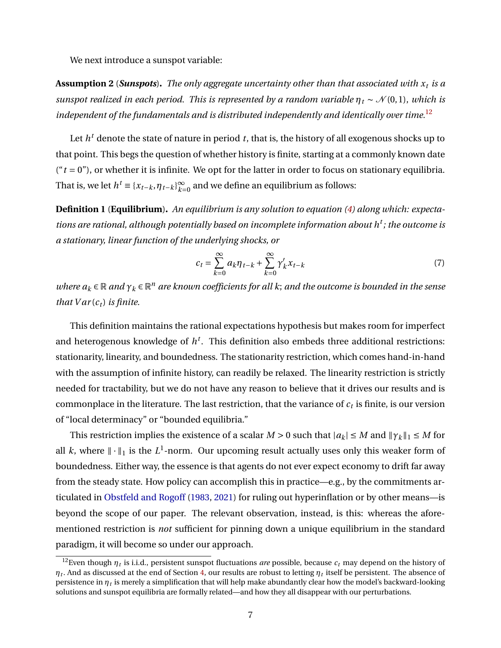We next introduce a sunspot variable:

<span id="page-7-3"></span>**Assumption 2** (*Sunspots*)**.** *The only aggregate uncertainty other than that associated with x<sup>t</sup> is a sunspot realized in each period. This is represented by a random variable*  $\eta_t \sim \mathcal{N}(0, 1)$ , *which is independent of the fundamentals and is distributed independently and identically over time.*[12](#page-7-0)

Let  $h^t$  denote the state of nature in period  $t$ , that is, the history of all exogenous shocks up to that point. This begs the question of whether history is finite, starting at a commonly known date  $(4t = 0)$ , or whether it is infinite. We opt for the latter in order to focus on stationary equilibria. That is, we let  $h^t \equiv \{x_{t-k}, \eta_{t-k}\}_{k=0}^\infty$  $\sum\limits_{k=0}^{\infty}$  and we define an equilibrium as follows:

<span id="page-7-1"></span>**Definition 1** (**Equilibrium**)**.** *An equilibrium is any solution to equation [\(4\)](#page-5-2) along which: expectations are rational, although potentially based on incomplete information about h<sup>t</sup> ; the outcome is a stationary, linear function of the underlying shocks, or*

<span id="page-7-2"></span>
$$
c_t = \sum_{k=0}^{\infty} a_k \eta_{t-k} + \sum_{k=0}^{\infty} \gamma'_k x_{t-k}
$$
\n(7)

*where*  $a_k \in \mathbb{R}$  *and*  $\gamma_k \in \mathbb{R}^n$  are known coefficients for all k; and the outcome is bounded in the sense *that*  $Var(c_t)$  *is finite.* 

This definition maintains the rational expectations hypothesis but makes room for imperfect and heterogenous knowledge of *h t* . This definition also embeds three additional restrictions: stationarity, linearity, and boundedness. The stationarity restriction, which comes hand-in-hand with the assumption of infinite history, can readily be relaxed. The linearity restriction is strictly needed for tractability, but we do not have any reason to believe that it drives our results and is commonplace in the literature. The last restriction, that the variance of  $c_t$  is finite, is our version of "local determinacy" or "bounded equilibria."

This restriction implies the existence of a scalar  $M > 0$  such that  $|a_k| \le M$  and  $\|\gamma_k\|_1 \le M$  for all *k*, where  $\|\cdot\|_1$  is the *L*<sup>1</sup>-norm. Our upcoming result actually uses only this weaker form of boundedness. Either way, the essence is that agents do not ever expect economy to drift far away from the steady state. How policy can accomplish this in practice—e.g., by the commitments articulated in [Obstfeld and Rogoff](#page-39-4) [\(1983,](#page-39-4) [2021\)](#page-39-5) for ruling out hyperinflation or by other means—is beyond the scope of our paper. The relevant observation, instead, is this: whereas the aforementioned restriction is *not* sufficient for pinning down a unique equilibrium in the standard paradigm, it will become so under our approach.

<span id="page-7-0"></span><sup>&</sup>lt;sup>12</sup>Even though  $\eta_t$  is i.i.d., persistent sunspot fluctuations *are* possible, because  $c_t$  may depend on the history of  $\eta$ *t*. And as discussed at the end of Section [4,](#page-11-0) our results are robust to letting  $\eta$ *t* itself be persistent. The absence of persistence in  $\eta_t$  is merely a simplification that will help make abundantly clear how the model's backward-looking solutions and sunspot equilibria are formally related—and how they all disappear with our perturbations.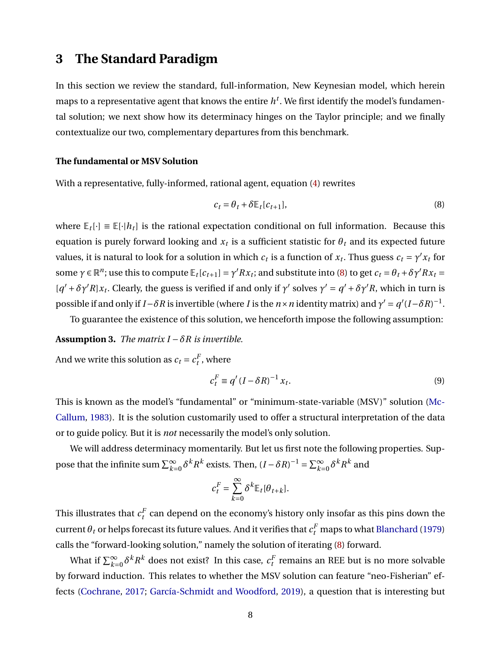# <span id="page-8-3"></span>**3 The Standard Paradigm**

In this section we review the standard, full-information, New Keynesian model, which herein maps to a representative agent that knows the entire  $h^t$ . We first identify the model's fundamental solution; we next show how its determinacy hinges on the Taylor principle; and we finally contextualize our two, complementary departures from this benchmark.

## **The fundamental or MSV Solution**

With a representative, fully-informed, rational agent, equation [\(4\)](#page-5-2) rewrites

<span id="page-8-0"></span>
$$
c_t = \theta_t + \delta \mathbb{E}_t[c_{t+1}], \tag{8}
$$

where  $\mathbb{E}_t[\cdot] \equiv \mathbb{E}[\cdot|h_t]$  is the rational expectation conditional on full information. Because this equation is purely forward looking and  $x_t$  is a sufficient statistic for  $\theta_t$  and its expected future values, it is natural to look for a solution in which  $c_t$  is a function of  $x_t$ . Thus guess  $c_t = \gamma' x_t$  for some  $\gamma \in \mathbb{R}^n$ ; use this to compute  $\mathbb{E}_t[c_{t+1}] = \gamma' Rx_t$ ; and substitute into [\(8\)](#page-8-0) to get  $c_t = \theta_t + \delta \gamma' Rx_t =$  $[q' + \delta \gamma' R]x_t$ . Clearly, the guess is verified if and only if  $\gamma'$  solves  $\gamma' = q' + \delta \gamma' R$ , which in turn is possible if and only if *I* −*δR* is invertible (where *I* is the *n* × *n* identity matrix) and  $\gamma' = q'(I - \delta R)^{-1}$ .

To guarantee the existence of this solution, we henceforth impose the following assumption:

<span id="page-8-2"></span>**Assumption 3.** *The matrix I*  $-\delta R$  *is invertible.* 

And we write this solution as  $c_t = c_t^F$ , where

<span id="page-8-1"></span>
$$
c_t^F \equiv q'(I - \delta R)^{-1} x_t. \tag{9}
$$

This is known as the model's "fundamental" or "minimum-state-variable (MSV)" solution [\(Mc-](#page-38-3)[Callum,](#page-38-3) [1983\)](#page-38-3). It is the solution customarily used to offer a structural interpretation of the data or to guide policy. But it is *not* necessarily the model's only solution.

We will address determinacy momentarily. But let us first note the following properties. Suppose that the infinite sum  $\sum_{k=0}^{\infty} \delta^k R^k$  exists. Then,  $(I - \delta R)^{-1} = \sum_{k=0}^{\infty} \delta^k R^k$  and

$$
c_t^F = \sum_{k=0}^{\infty} \delta^k \mathbb{E}_t[\theta_{t+k}].
$$

This illustrates that  $c_t^F$  can depend on the economy's history only insofar as this pins down the  $\text{current} \, \theta_t$  or helps forecast its future values. And it verifies that  $c_t^F$  maps to what [Blanchard](#page-36-10) [\(1979\)](#page-36-10) calls the "forward-looking solution," namely the solution of iterating [\(8\)](#page-8-0) forward.

What if  $\sum_{k=0}^\infty \delta^k R^k$  does not exist? In this case,  $c_t^F$  remains an REE but is no more solvable by forward induction. This relates to whether the MSV solution can feature "neo-Fisherian" effects [\(Cochrane,](#page-37-3) [2017;](#page-37-3) [García-Schmidt and Woodford,](#page-37-12) [2019\)](#page-37-12), a question that is interesting but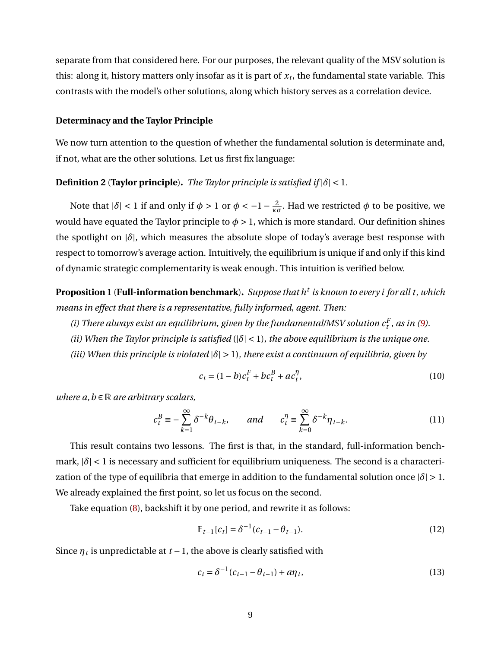separate from that considered here. For our purposes, the relevant quality of the MSV solution is this: along it, history matters only insofar as it is part of *x<sup>t</sup>* , the fundamental state variable. This contrasts with the model's other solutions, along which history serves as a correlation device.

#### **Determinacy and the Taylor Principle**

We now turn attention to the question of whether the fundamental solution is determinate and, if not, what are the other solutions. Let us first fix language:

#### **Definition 2** (**Taylor principle**). *The Taylor principle is satisfied if*  $|\delta|$  < 1*.*

Note that  $|\delta|$  < 1 if and only if  $\phi$  > 1 or  $\phi$  <  $-1-\frac{2}{\kappa\sigma}$ . Had we restricted  $\phi$  to be positive, we would have equated the Taylor principle to  $\phi > 1$ , which is more standard. Our definition shines the spotlight on |*δ*|, which measures the absolute slope of today's average best response with respect to tomorrow's average action. Intuitively, the equilibrium is unique if and only if this kind of dynamic strategic complementarity is weak enough. This intuition is verified below.

<span id="page-9-3"></span>**Proposition 1** (**Full-information benchmark**)**.** *Suppose that h<sup>t</sup> is known to every i for all t*, *which means in effect that there is a representative, fully informed, agent. Then:*

*(i) There always exist an equilibrium, given by the fundamental/MSV solution*  $c_t^F$ *, as in [\(9\)](#page-8-1).* 

- *(ii) When the Taylor principle is satisfied* (|*δ*| < 1)*, the above equilibrium is the unique one.*
- *(iii) When this principle is violated*  $|\delta| > 1$ *), there exist a continuum of equilibria, given by*

<span id="page-9-1"></span>
$$
c_t = (1 - b)c_t^F + bc_t^B + ac_t^T,
$$
\n(10)

*where*  $a, b \in \mathbb{R}$  *are arbitrary scalars,* 

$$
c_t^B \equiv -\sum_{k=1}^{\infty} \delta^{-k} \theta_{t-k}, \qquad and \qquad c_t^{\eta} \equiv \sum_{k=0}^{\infty} \delta^{-k} \eta_{t-k}.
$$
 (11)

This result contains two lessons. The first is that, in the standard, full-information benchmark,  $|\delta|$  < 1 is necessary and sufficient for equilibrium uniqueness. The second is a characterization of the type of equilibria that emerge in addition to the fundamental solution once  $|\delta| > 1$ . We already explained the first point, so let us focus on the second.

Take equation [\(8\)](#page-8-0), backshift it by one period, and rewrite it as follows:

<span id="page-9-0"></span>
$$
\mathbb{E}_{t-1}[c_t] = \delta^{-1}(c_{t-1} - \theta_{t-1}).
$$
\n(12)

Since  $\eta_t$  is unpredictable at  $t-1$ , the above is clearly satisfied with

<span id="page-9-2"></span>
$$
c_t = \delta^{-1}(c_{t-1} - \theta_{t-1}) + a\eta_t, \tag{13}
$$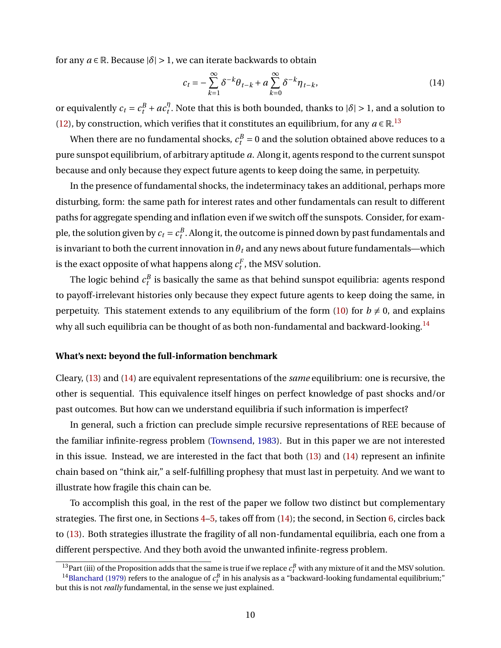for any  $a \in \mathbb{R}$ . Because  $|\delta| > 1$ , we can iterate backwards to obtain

<span id="page-10-2"></span>
$$
c_t = -\sum_{k=1}^{\infty} \delta^{-k} \theta_{t-k} + a \sum_{k=0}^{\infty} \delta^{-k} \eta_{t-k},
$$
\n(14)

or equivalently  $c_t = c_t^B + ac_t^{\eta}$  $\int_t^{\eta}$ . Note that this is both bounded, thanks to  $|\delta| > 1$ , and a solution to [\(12\)](#page-9-0), by construction, which verifies that it constitutes an equilibrium, for any  $a \in \mathbb{R}^{13}$  $a \in \mathbb{R}^{13}$  $a \in \mathbb{R}^{13}$ 

When there are no fundamental shocks,  $c_t^B = 0$  and the solution obtained above reduces to a pure sunspot equilibrium, of arbitrary aptitude *a*. Along it, agents respond to the current sunspot because and only because they expect future agents to keep doing the same, in perpetuity.

In the presence of fundamental shocks, the indeterminacy takes an additional, perhaps more disturbing, form: the same path for interest rates and other fundamentals can result to different paths for aggregate spending and inflation even if we switch off the sunspots. Consider, for example, the solution given by  $c_t = c_t^B$ . Along it, the outcome is pinned down by past fundamentals and is invariant to both the current innovation in  $\theta_t$  and any news about future fundamentals—which is the exact opposite of what happens along  $c_t^F$ , the MSV solution.

The logic behind  $c_{t}^{B}$  is basically the same as that behind sunspot equilibria: agents respond to payoff-irrelevant histories only because they expect future agents to keep doing the same, in perpetuity. This statement extends to any equilibrium of the form [\(10\)](#page-9-1) for  $b \neq 0$ , and explains why all such equilibria can be thought of as both non-fundamental and backward-looking.<sup>[14](#page-10-1)</sup>

#### **What's next: beyond the full-information benchmark**

Cleary, [\(13\)](#page-9-2) and [\(14\)](#page-10-2) are equivalent representations of the *same* equilibrium: one is recursive, the other is sequential. This equivalence itself hinges on perfect knowledge of past shocks and/or past outcomes. But how can we understand equilibria if such information is imperfect?

In general, such a friction can preclude simple recursive representations of REE because of the familiar infinite-regress problem [\(Townsend,](#page-39-10) [1983\)](#page-39-10). But in this paper we are not interested in this issue. Instead, we are interested in the fact that both [\(13\)](#page-9-2) and [\(14\)](#page-10-2) represent an infinite chain based on "think air," a self-fulfilling prophesy that must last in perpetuity. And we want to illustrate how fragile this chain can be.

To accomplish this goal, in the rest of the paper we follow two distinct but complementary strategies. The first one, in Sections [4](#page-11-0)[–5,](#page-16-0) takes off from [\(14\)](#page-10-2); the second, in Section [6,](#page-18-0) circles back to [\(13\)](#page-9-2). Both strategies illustrate the fragility of all non-fundamental equilibria, each one from a different perspective. And they both avoid the unwanted infinite-regress problem.

<span id="page-10-1"></span><span id="page-10-0"></span><sup>&</sup>lt;sup>13</sup>Part (iii) of the Proposition adds that the same is true if we replace  $c_t^B$  with any mixture of it and the MSV solution.

<sup>&</sup>lt;sup>14</sup>[Blanchard](#page-36-10) [\(1979\)](#page-36-10) refers to the analogue of  $c_t^B$  in his analysis as a "backward-looking fundamental equilibrium;" but this is not *really* fundamental, in the sense we just explained.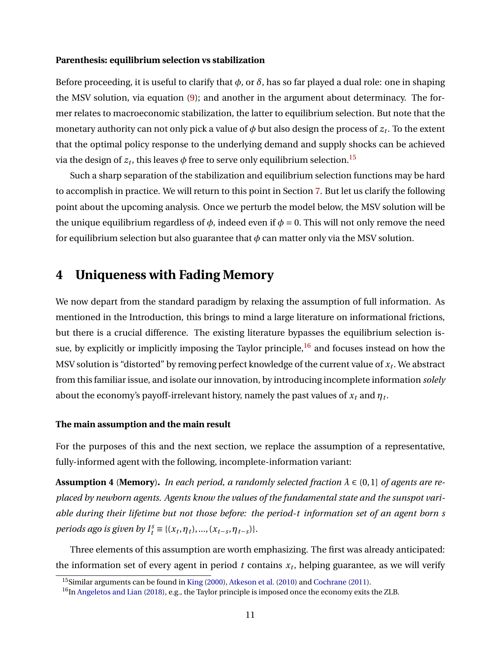#### **Parenthesis: equilibrium selection vs stabilization**

Before proceeding, it is useful to clarify that *φ*, or *δ*, has so far played a dual role: one in shaping the MSV solution, via equation [\(9\)](#page-8-1); and another in the argument about determinacy. The former relates to macroeconomic stabilization, the latter to equilibrium selection. But note that the monetary authority can not only pick a value of *φ* but also design the process of *z<sup>t</sup>* . To the extent that the optimal policy response to the underlying demand and supply shocks can be achieved via the design of  $z_t$ , this leaves  $\phi$  free to serve only equilibrium selection.<sup>[15](#page-11-1)</sup>

Such a sharp separation of the stabilization and equilibrium selection functions may be hard to accomplish in practice. We will return to this point in Section [7.](#page-22-0) But let us clarify the following point about the upcoming analysis. Once we perturb the model below, the MSV solution will be the unique equilibrium regardless of  $\phi$ , indeed even if  $\phi = 0$ . This will not only remove the need for equilibrium selection but also guarantee that  $\phi$  can matter only via the MSV solution.

# <span id="page-11-0"></span>**4 Uniqueness with Fading Memory**

We now depart from the standard paradigm by relaxing the assumption of full information. As mentioned in the Introduction, this brings to mind a large literature on informational frictions, but there is a crucial difference. The existing literature bypasses the equilibrium selection issue, by explicitly or implicitly imposing the Taylor principle,  $16$  and focuses instead on how the MSV solution is "distorted" by removing perfect knowledge of the current value of *x<sup>t</sup>* . We abstract from this familiar issue, and isolate our innovation, by introducing incomplete information *solely* about the economy's payoff-irrelevant history, namely the past values of  $x_t$  and  $\eta_t$ .

### **The main assumption and the main result**

For the purposes of this and the next section, we replace the assumption of a representative, fully-informed agent with the following, incomplete-information variant:

<span id="page-11-3"></span>**Assumption 4** (**Memory**). *In each period, a randomly selected fraction*  $\lambda \in (0,1]$  *of agents are replaced by newborn agents. Agents know the values of the fundamental state and the sunspot variable during their lifetime but not those before: the period-t information set of an agent born s periods ago is given by*  $I_t^s \equiv \{(x_t, \eta_t), ..., (x_{t-s}, \eta_{t-s})\}.$ 

Three elements of this assumption are worth emphasizing. The first was already anticipated: the information set of every agent in period *t* contains *x<sup>t</sup>* , helping guarantee, as we will verify

<span id="page-11-1"></span><sup>15</sup>Similar arguments can be found in [King](#page-38-1) [\(2000\)](#page-38-1), [Atkeson et al.](#page-36-1) [\(2010\)](#page-36-1) and [Cochrane](#page-37-0) [\(2011\)](#page-37-0).

<span id="page-11-2"></span> $^{16}$ In [Angeletos and Lian](#page-36-7) [\(2018\)](#page-36-7), e.g., the Taylor principle is imposed once the economy exits the ZLB.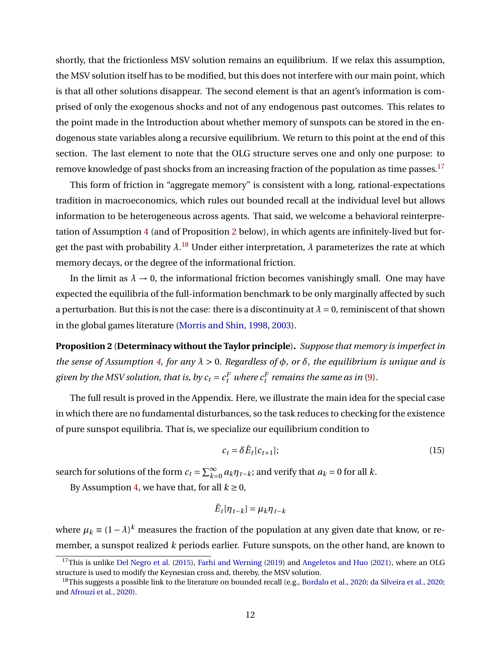shortly, that the frictionless MSV solution remains an equilibrium. If we relax this assumption, the MSV solution itself has to be modified, but this does not interfere with our main point, which is that all other solutions disappear. The second element is that an agent's information is comprised of only the exogenous shocks and not of any endogenous past outcomes. This relates to the point made in the Introduction about whether memory of sunspots can be stored in the endogenous state variables along a recursive equilibrium. We return to this point at the end of this section. The last element to note that the OLG structure serves one and only one purpose: to remove knowledge of past shocks from an increasing fraction of the population as time passes.<sup>[17](#page-12-1)</sup>

This form of friction in "aggregate memory" is consistent with a long, rational-expectations tradition in macroeconomics, which rules out bounded recall at the individual level but allows information to be heterogeneous across agents. That said, we welcome a behavioral reinterpretation of Assumption [4](#page-11-3) (and of Proposition [2](#page-12-0) below), in which agents are infinitely-lived but forget the past with probability  $\lambda .^{18}$  $\lambda .^{18}$  $\lambda .^{18}$  Under either interpretation,  $\lambda$  parameterizes the rate at which memory decays, or the degree of the informational friction.

In the limit as  $\lambda \to 0$ , the informational friction becomes vanishingly small. One may have expected the equilibria of the full-information benchmark to be only marginally affected by such a perturbation. But this is not the case: there is a discontinuity at  $\lambda = 0$ , reminiscent of that shown in the global games literature [\(Morris and Shin,](#page-38-5) [1998,](#page-38-5) [2003\)](#page-38-7).

<span id="page-12-0"></span>**Proposition 2** (**Determinacy without the Taylor principle**)**.** *Suppose that memory is imperfect in the sense of Assumption [4,](#page-11-3) for any λ* > 0. *Regardless of φ, or δ*, *the equilibrium is unique and is given by the MSV solution, that is, by*  $c_t = c_t^F$  *where*  $c_t^F$  *remains the same as in* [\(9\)](#page-8-1)*.* 

The full result is proved in the Appendix. Here, we illustrate the main idea for the special case in which there are no fundamental disturbances, so the task reduces to checking for the existence of pure sunspot equilibria. That is, we specialize our equilibrium condition to

<span id="page-12-3"></span>
$$
c_t = \delta \bar{E}_t[c_{t+1}];\tag{15}
$$

search for solutions of the form  $c_t = \sum_{k=0}^{\infty} a_k \eta_{t-k}$ ; and verify that  $a_k = 0$  for all *k*.

By Assumption [4,](#page-11-3) we have that, for all  $k \geq 0$ ,

$$
\bar{E}_t[\eta_{t-k}] = \mu_k \eta_{t-k}
$$

where  $\mu_k \equiv (1-\lambda)^k$  measures the fraction of the population at any given date that know, or remember, a sunspot realized *k* periods earlier. Future sunspots, on the other hand, are known to

<span id="page-12-1"></span><sup>&</sup>lt;sup>17</sup>This is unlike [Del Negro et al.](#page-37-14) [\(2015\)](#page-37-14), [Farhi and Werning](#page-37-13) [\(2019\)](#page-37-13) and [Angeletos and Huo](#page-36-8) [\(2021\)](#page-36-8), where an OLG structure is used to modify the Keynesian cross and, thereby, the MSV solution.

<span id="page-12-2"></span><sup>&</sup>lt;sup>18</sup>This suggests a possible link to the literature on bounded recall (e.g., [Bordalo et al.,](#page-37-15) [2020;](#page-37-16) [da Silveira et al.,](#page-37-16) 2020; and [Afrouzi et al.,](#page-36-11) [2020\)](#page-36-11).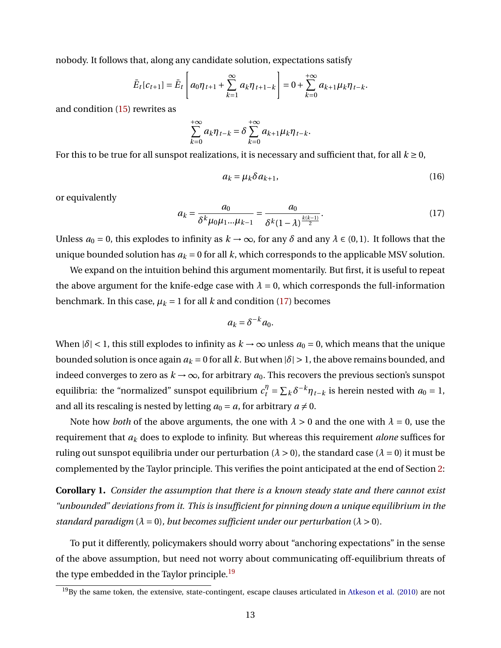nobody. It follows that, along any candidate solution, expectations satisfy

$$
\bar{E}_t[c_{t+1}] = \bar{E}_t\left[a_0\eta_{t+1} + \sum_{k=1}^{\infty} a_k\eta_{t+1-k}\right] = 0 + \sum_{k=0}^{+\infty} a_{k+1}\mu_k\eta_{t-k}.
$$

and condition [\(15\)](#page-12-3) rewrites as

$$
\sum_{k=0}^{+\infty} a_k \eta_{t-k} = \delta \sum_{k=0}^{+\infty} a_{k+1} \mu_k \eta_{t-k}.
$$

For this to be true for all sunspot realizations, it is necessary and sufficient that, for all  $k \geq 0$ ,

<span id="page-13-2"></span>
$$
a_k = \mu_k \delta a_{k+1},\tag{16}
$$

or equivalently

<span id="page-13-0"></span>
$$
a_k = \frac{a_0}{\delta^k \mu_0 \mu_1 ... \mu_{k-1}} = \frac{a_0}{\delta^k (1-\lambda)^{\frac{k(k-1)}{2}}}.
$$
\n(17)

Unless  $a_0 = 0$ , this explodes to infinity as  $k \to \infty$ , for any  $\delta$  and any  $\lambda \in (0, 1)$ . It follows that the unique bounded solution has  $a_k = 0$  for all  $k$ , which corresponds to the applicable MSV solution.

We expand on the intuition behind this argument momentarily. But first, it is useful to repeat the above argument for the knife-edge case with  $\lambda = 0$ , which corresponds the full-information benchmark. In this case,  $\mu_k = 1$  for all *k* and condition [\(17\)](#page-13-0) becomes

$$
a_k = \delta^{-k} a_0.
$$

When  $|\delta|$  < 1, this still explodes to infinity as  $k \to \infty$  unless  $a_0 = 0$ , which means that the unique bounded solution is once again  $a_k = 0$  for all *k*. But when  $|\delta| > 1$ , the above remains bounded, and indeed converges to zero as  $k \to \infty$ , for arbitrary  $a_0$ . This recovers the previous section's sunspot equilibria: the "normalized" sunspot equilibrium  $c_t^{\eta} = \sum_k \delta^{-k} \eta_{t-k}$  is herein nested with  $a_0 = 1$ , and all its rescaling is nested by letting  $a_0 = a$ , for arbitrary  $a \neq 0$ .

Note how *both* of the above arguments, the one with  $\lambda > 0$  and the one with  $\lambda = 0$ , use the requirement that *a<sup>k</sup>* does to explode to infinity. But whereas this requirement *alone* suffices for ruling out sunspot equilibria under our perturbation ( $\lambda > 0$ ), the standard case ( $\lambda = 0$ ) it must be complemented by the Taylor principle. This verifies the point anticipated at the end of Section [2:](#page-4-3)

**Corollary 1.** *Consider the assumption that there is a known steady state and there cannot exist "unbounded" deviations from it. This is insufficient for pinning down a unique equilibrium in the standard paradigm*  $(\lambda = 0)$ *, but becomes sufficient under our perturbation*  $(\lambda > 0)$ *.* 

To put it differently, policymakers should worry about "anchoring expectations" in the sense of the above assumption, but need not worry about communicating off-equilibrium threats of the type embedded in the Taylor principle.<sup>[19](#page-13-1)</sup>

<span id="page-13-1"></span><sup>&</sup>lt;sup>19</sup>By the same token, the extensive, state-contingent, escape clauses articulated in [Atkeson et al.](#page-36-1) [\(2010\)](#page-36-1) are not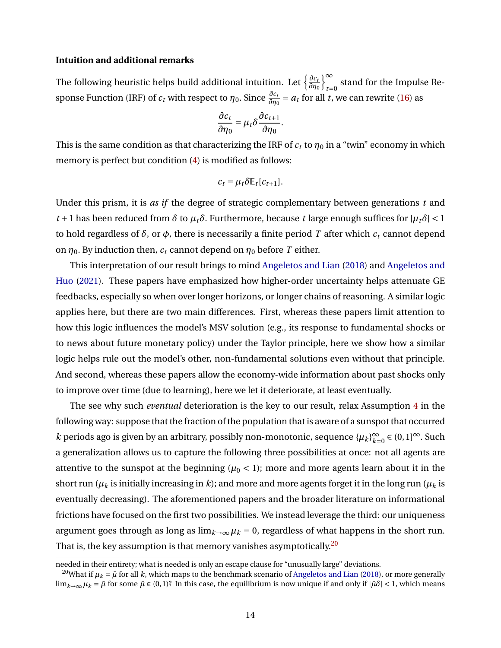### **Intuition and additional remarks**

The following heuristic helps build additional intuition. Let  $\left\{\frac{\partial c_1}{\partial n_1}$ *∂η*0  $\mathfrak{g}^{\infty}$ stand for the Impulse Response Function (IRF) of  $c_t$  with respect to  $\eta_0$ . Since  $\frac{\partial c_t}{\partial \eta_0} = a_t$  for all *t*, we can rewrite [\(16\)](#page-13-2) as

$$
\frac{\partial c_t}{\partial \eta_0} = \mu_t \delta \frac{\partial c_{t+1}}{\partial \eta_0}.
$$

This is the same condition as that characterizing the IRF of  $c_t$  to  $\eta_0$  in a "twin" economy in which memory is perfect but condition [\(4\)](#page-5-2) is modified as follows:

$$
c_t = \mu_t \delta \mathbb{E}_t[c_{t+1}].
$$

Under this prism, it is *as if* the degree of strategic complementary between generations *t* and *t* + 1 has been reduced from *δ* to  $\mu_t \delta$ . Furthermore, because *t* large enough suffices for  $|\mu_t \delta|$  < 1 to hold regardless of *δ*, or *φ*, there is necessarily a finite period *T* after which *c<sup>t</sup>* cannot depend on  $\eta_0$ . By induction then,  $c_t$  cannot depend on  $\eta_0$  before *T* either.

This interpretation of our result brings to mind [Angeletos and Lian](#page-36-7) [\(2018\)](#page-36-7) and [Angeletos and](#page-36-8) [Huo](#page-36-8) [\(2021\)](#page-36-8). These papers have emphasized how higher-order uncertainty helps attenuate GE feedbacks, especially so when over longer horizons, or longer chains of reasoning. A similar logic applies here, but there are two main differences. First, whereas these papers limit attention to how this logic influences the model's MSV solution (e.g., its response to fundamental shocks or to news about future monetary policy) under the Taylor principle, here we show how a similar logic helps rule out the model's other, non-fundamental solutions even without that principle. And second, whereas these papers allow the economy-wide information about past shocks only to improve over time (due to learning), here we let it deteriorate, at least eventually.

The see why such *eventual* deterioration is the key to our result, relax Assumption [4](#page-11-3) in the following way: suppose that the fraction of the population that is aware of a sunspot that occurred *k* periods ago is given by an arbitrary, possibly non-monotonic, sequence  $\{\mu_k\}_{k=1}^{\infty}$  $\sum_{k=0}^{\infty}$  ∈ (0, 1]<sup>∞</sup>. Such a generalization allows us to capture the following three possibilities at once: not all agents are attentive to the sunspot at the beginning ( $\mu_0$  < 1); more and more agents learn about it in the short run ( $\mu_k$  is initially increasing in *k*); and more and more agents forget it in the long run ( $\mu_k$  is eventually decreasing). The aforementioned papers and the broader literature on informational frictions have focused on the first two possibilities. We instead leverage the third: our uniqueness argument goes through as long as  $\lim_{k\to\infty} \mu_k = 0$ , regardless of what happens in the short run. That is, the key assumption is that memory vanishes asymptotically.<sup>[20](#page-14-0)</sup>

needed in their entirety; what is needed is only an escape clause for "unusually large" deviations.

<span id="page-14-0"></span><sup>&</sup>lt;sup>20</sup>What if  $\mu_k = \bar{\mu}$  for all *k*, which maps to the benchmark scenario of [Angeletos and Lian](#page-36-7) [\(2018\)](#page-36-7), or more generally lim<sub>k→∞</sub>  $\mu_k = \bar{\mu}$  for some  $\bar{\mu} \in (0, 1)$ ? In this case, the equilibrium is now unique if and only if  $|\bar{\mu}\delta|$  < 1, which means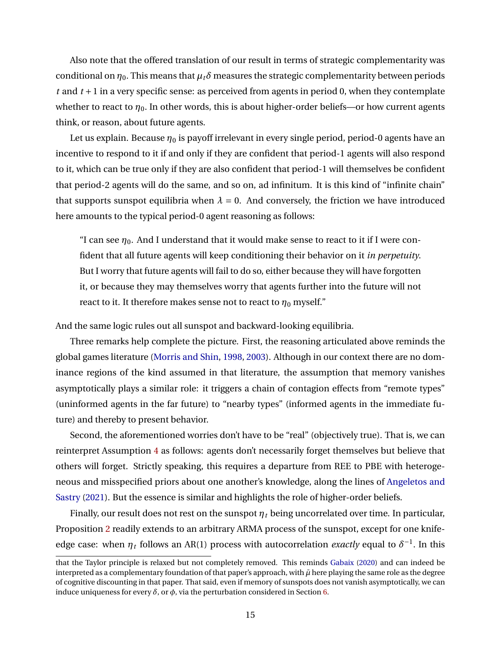Also note that the offered translation of our result in terms of strategic complementarity was conditional on  $\eta_0$ . This means that  $\mu_t \delta$  measures the strategic complementarity between periods *t* and *t* +1 in a very specific sense: as perceived from agents in period 0, when they contemplate whether to react to  $\eta_0$ . In other words, this is about higher-order beliefs—or how current agents think, or reason, about future agents.

Let us explain. Because *η*<sub>0</sub> is payoff irrelevant in every single period, period-0 agents have an incentive to respond to it if and only if they are confident that period-1 agents will also respond to it, which can be true only if they are also confident that period-1 will themselves be confident that period-2 agents will do the same, and so on, ad infinitum. It is this kind of "infinite chain" that supports sunspot equilibria when  $\lambda = 0$ . And conversely, the friction we have introduced here amounts to the typical period-0 agent reasoning as follows:

"I can see  $\eta_0$ . And I understand that it would make sense to react to it if I were confident that all future agents will keep conditioning their behavior on it *in perpetuity*. But I worry that future agents will fail to do so, either because they will have forgotten it, or because they may themselves worry that agents further into the future will not react to it. It therefore makes sense not to react to  $\eta_0$  myself."

And the same logic rules out all sunspot and backward-looking equilibria.

Three remarks help complete the picture. First, the reasoning articulated above reminds the global games literature [\(Morris and Shin,](#page-38-5) [1998,](#page-38-5) [2003\)](#page-38-7). Although in our context there are no dominance regions of the kind assumed in that literature, the assumption that memory vanishes asymptotically plays a similar role: it triggers a chain of contagion effects from "remote types" (uninformed agents in the far future) to "nearby types" (informed agents in the immediate future) and thereby to present behavior.

Second, the aforementioned worries don't have to be "real" (objectively true). That is, we can reinterpret Assumption [4](#page-11-3) as follows: agents don't necessarily forget themselves but believe that others will forget. Strictly speaking, this requires a departure from REE to PBE with heterogeneous and misspecified priors about one another's knowledge, along the lines of [Angeletos and](#page-36-9) [Sastry](#page-36-9) [\(2021\)](#page-36-9). But the essence is similar and highlights the role of higher-order beliefs.

Finally, our result does not rest on the sunspot *η<sup>t</sup>* being uncorrelated over time. In particular, Proposition [2](#page-12-0) readily extends to an arbitrary ARMA process of the sunspot, except for one knifeedge case: when  $\eta_t$  follows an AR(1) process with autocorrelation *exactly* equal to  $\delta^{-1}$ . In this

that the Taylor principle is relaxed but not completely removed. This reminds [Gabaix](#page-37-7) [\(2020\)](#page-37-7) and can indeed be interpreted as a complementary foundation of that paper's approach, with  $\bar{\mu}$  here playing the same role as the degree of cognitive discounting in that paper. That said, even if memory of sunspots does not vanish asymptotically, we can induce uniqueness for every  $\delta$ , or  $\phi$ , via the perturbation considered in Section [6.](#page-18-0)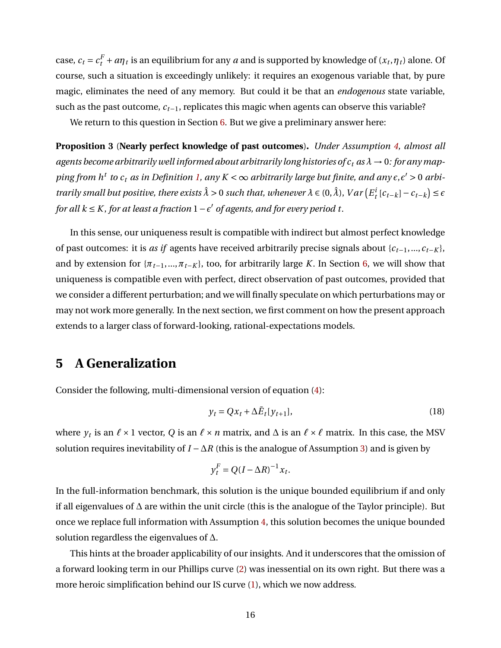case,  $c_t = c_t^F + a\eta_t$  is an equilibrium for any *a* and is supported by knowledge of  $(x_t, \eta_t)$  alone. Of course, such a situation is exceedingly unlikely: it requires an exogenous variable that, by pure magic, eliminates the need of any memory. But could it be that an *endogenous* state variable, such as the past outcome, *ct*−1, replicates this magic when agents can observe this variable?

We return to this question in Section [6.](#page-18-0) But we give a preliminary answer here:

<span id="page-16-1"></span>**Proposition 3** (**Nearly perfect knowledge of past outcomes**)**.** *Under Assumption [4,](#page-11-3) almost all agents become arbitrarily well informed about arbitrarily long histories of*  $c_t$  *as*  $\lambda \to 0$ *: for any map* $p$ ing from  $h^t$  to  $c_t$  as in Definition [1,](#page-7-1) any  $K < \infty$  arbitrarily large but finite, and any  $\epsilon, \epsilon' > 0$  arbi*trarily small but positive, there exists*  $\hat{\lambda} > 0$  *such that, whenever*  $\lambda \in (0, \hat{\lambda})$ *, Var*  $(E_t^i[c_{t-k}] - c_{t-k}) \le \epsilon$ *for all k* ≤ *K*, *for at least a fraction 1* −  $\epsilon'$  *of agents, and for every period t.* 

In this sense, our uniqueness result is compatible with indirect but almost perfect knowledge of past outcomes: it is *as if* agents have received arbitrarily precise signals about {*ct*−1,...,*ct*−*<sup>K</sup>* }, and by extension for  $\{\pi_{t-1},...,\pi_{t-K}\}\$ , too, for arbitrarily large *K*. In Section [6,](#page-18-0) we will show that uniqueness is compatible even with perfect, direct observation of past outcomes, provided that we consider a different perturbation; and we will finally speculate on which perturbations may or may not work more generally. In the next section, we first comment on how the present approach extends to a larger class of forward-looking, rational-expectations models.

# <span id="page-16-0"></span>**5 A Generalization**

Consider the following, multi-dimensional version of equation [\(4\)](#page-5-2):

$$
y_t = Qx_t + \Delta \bar{E}_t[y_{t+1}],\tag{18}
$$

where  $y_t$  is an  $\ell \times 1$  vector, *Q* is an  $\ell \times n$  matrix, and  $\Delta$  is an  $\ell \times \ell$  matrix. In this case, the MSV solution requires inevitability of *I* −∆*R* (this is the analogue of Assumption [3\)](#page-8-2) and is given by

$$
y_t^F = Q(I - \Delta R)^{-1} x_t.
$$

In the full-information benchmark, this solution is the unique bounded equilibrium if and only if all eigenvalues of ∆ are within the unit circle (this is the analogue of the Taylor principle). But once we replace full information with Assumption [4,](#page-11-3) this solution becomes the unique bounded solution regardless the eigenvalues of ∆.

This hints at the broader applicability of our insights. And it underscores that the omission of a forward looking term in our Phillips curve [\(2\)](#page-4-2) was inessential on its own right. But there was a more heroic simplification behind our IS curve [\(1\)](#page-4-1), which we now address.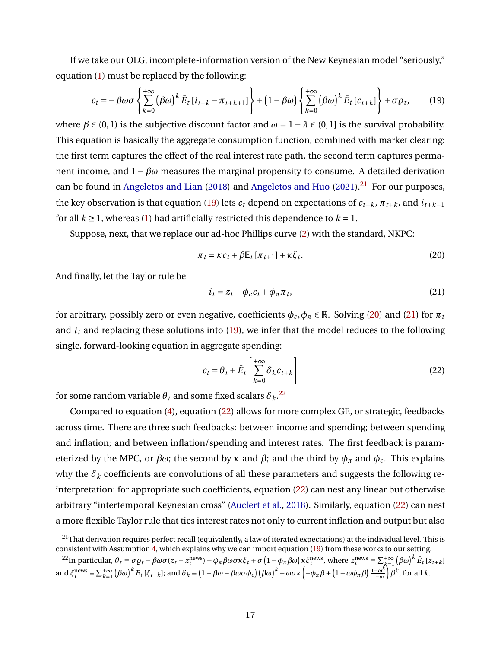If we take our OLG, incomplete-information version of the New Keynesian model "seriously," equation [\(1\)](#page-4-1) must be replaced by the following:

$$
c_t = -\beta \omega \sigma \left\{ \sum_{k=0}^{+\infty} (\beta \omega)^k \bar{E}_t \left[ i_{t+k} - \pi_{t+k+1} \right] \right\} + \left( 1 - \beta \omega \right) \left\{ \sum_{k=0}^{+\infty} (\beta \omega)^k \bar{E}_t \left[ c_{t+k} \right] \right\} + \sigma \varrho_t, \tag{19}
$$

where  $\beta \in (0, 1)$  is the subjective discount factor and  $\omega = 1 - \lambda \in (0, 1]$  is the survival probability. This equation is basically the aggregate consumption function, combined with market clearing: the first term captures the effect of the real interest rate path, the second term captures permanent income, and  $1 - \beta \omega$  measures the marginal propensity to consume. A detailed derivation can be found in [Angeletos and Lian](#page-36-7) [\(2018\)](#page-36-7) and [Angeletos and Huo](#page-36-8) [\(2021\)](#page-36-8).<sup>[21](#page-17-0)</sup> For our purposes, the key observation is that equation [\(19\)](#page-17-1) lets  $c_t$  depend on expectations of  $c_{t+k}$ ,  $\pi_{t+k}$ , and  $i_{t+k-1}$ for all  $k \ge 1$ , whereas [\(1\)](#page-4-1) had artificially restricted this dependence to  $k = 1$ .

Suppose, next, that we replace our ad-hoc Phillips curve [\(2\)](#page-4-2) with the standard, NKPC:

<span id="page-17-1"></span>
$$
\pi_t = \kappa c_t + \beta \mathbb{E}_t \left[ \pi_{t+1} \right] + \kappa \xi_t. \tag{20}
$$

And finally, let the Taylor rule be

<span id="page-17-3"></span><span id="page-17-2"></span>
$$
i_t = z_t + \phi_c c_t + \phi_{\pi} \pi_t, \tag{21}
$$

for arbitrary, possibly zero or even negative, coefficients  $\phi_c$ ,  $\phi_\pi \in \mathbb{R}$ . Solving [\(20\)](#page-17-2) and [\(21\)](#page-17-3) for  $\pi_t$ and  $i_t$  and replacing these solutions into  $(19)$ , we infer that the model reduces to the following single, forward-looking equation in aggregate spending:

<span id="page-17-5"></span>
$$
c_t = \theta_t + \bar{E}_t \left[ \sum_{k=0}^{+\infty} \delta_k c_{t+k} \right]
$$
 (22)

for some random variable  $\theta_t$  and some fixed scalars  $\delta_k.^{22}$  $\delta_k.^{22}$  $\delta_k.^{22}$ 

Compared to equation [\(4\)](#page-5-2), equation [\(22\)](#page-17-5) allows for more complex GE, or strategic, feedbacks across time. There are three such feedbacks: between income and spending; between spending and inflation; and between inflation/spending and interest rates. The first feedback is parameterized by the MPC, or *βω*; the second by *κ* and *β*; and the third by  $φ$ <sup>*π*</sup> and  $φ$ <sup>*c*</sup>. This explains why the  $\delta_k$  coefficients are convolutions of all these parameters and suggests the following reinterpretation: for appropriate such coefficients, equation [\(22\)](#page-17-5) can nest any linear but otherwise arbitrary "intertemporal Keynesian cross" [\(Auclert et al.,](#page-36-12) [2018\)](#page-36-12). Similarly, equation [\(22\)](#page-17-5) can nest a more flexible Taylor rule that ties interest rates not only to current inflation and output but also

<span id="page-17-0"></span> $21$ That derivation requires perfect recall (equivalently, a law of iterated expectations) at the individual level. This is consistent with Assumption [4,](#page-11-3) which explains why we can import equation [\(19\)](#page-17-1) from these works to our setting.

<span id="page-17-4"></span><sup>&</sup>lt;sup>22</sup>In particular,  $\theta_t \equiv \sigma \rho_t - \beta \omega \sigma (z_t + z_t^{\text{news}}) - \phi_{\pi} \beta \omega \sigma \kappa \xi_t + \sigma (1 - \phi_{\pi} \beta \omega) \kappa \xi_t^{\text{news}},$  where  $z_t^{\text{news}} \equiv \sum_{k=1}^{+\infty} (\beta \omega)^k \bar{E}_t [z_{t+k}]$ and  $\xi_t^{\text{news}} \equiv \sum_{k=1}^{+\infty} (\beta \omega)^k \bar{E}_t [\xi_{t+k}]$ ; and  $\delta_k \equiv (1 - \beta \omega - \beta \omega \sigma \phi_c) (\beta \omega)^k + \omega \sigma \kappa \left( -\phi_\pi \beta + (1 - \omega \phi_\pi \beta) \frac{1 - \omega^k}{1 - \omega} \right) \beta^k$ , for all k.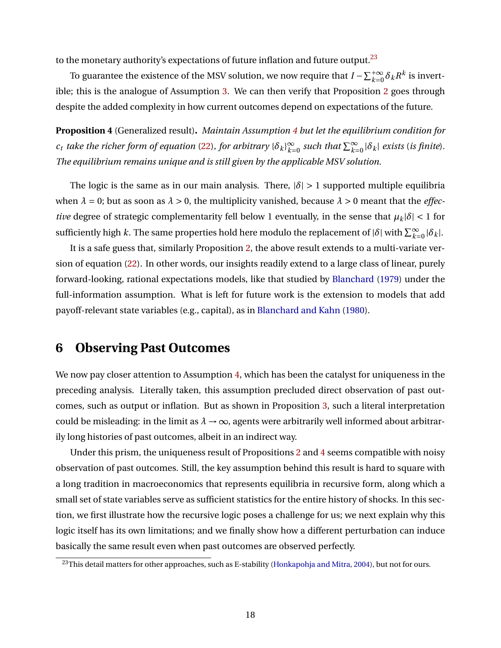to the monetary authority's expectations of future inflation and future output. $^{23}$  $^{23}$  $^{23}$ 

To guarantee the existence of the MSV solution, we now require that  $I-\sum_{k=0}^{+\infty}\delta_kR^k$  is invertible; this is the analogue of Assumption [3.](#page-8-2) We can then verify that Proposition [2](#page-12-0) goes through despite the added complexity in how current outcomes depend on expectations of the future.

<span id="page-18-2"></span>**Proposition 4** (Generalized result)**.** *Maintain Assumption [4](#page-11-3) but let the equilibrium condition for*  $c_t$  *take the richer form of equation* [\(22\)](#page-17-5), for arbitrary  $\{\delta_k\}_{k=1}^{\infty}$  $\sum_{k=0}^{\infty}$  such that  $\sum_{k=0}^{\infty} |\delta_k|$  exists (is finite). *The equilibrium remains unique and is still given by the applicable MSV solution.*

The logic is the same as in our main analysis. There,  $|\delta| > 1$  supported multiple equilibria when  $\lambda = 0$ ; but as soon as  $\lambda > 0$ , the multiplicity vanished, because  $\lambda > 0$  meant that the *effective* degree of strategic complementarity fell below 1 eventually, in the sense that  $\mu_k|\delta| < 1$  for sufficiently high *k*. The same properties hold here modulo the replacement of  $|\delta|$  with  $\sum_{k=0}^{\infty} |\delta_k|$ .

It is a safe guess that, similarly Proposition [2,](#page-12-0) the above result extends to a multi-variate version of equation [\(22\)](#page-17-5). In other words, our insights readily extend to a large class of linear, purely forward-looking, rational expectations models, like that studied by [Blanchard](#page-36-10) [\(1979\)](#page-36-10) under the full-information assumption. What is left for future work is the extension to models that add payoff-relevant state variables (e.g., capital), as in [Blanchard and Kahn](#page-36-13) [\(1980\)](#page-36-13).

# <span id="page-18-0"></span>**6 Observing Past Outcomes**

We now pay closer attention to Assumption [4,](#page-11-3) which has been the catalyst for uniqueness in the preceding analysis. Literally taken, this assumption precluded direct observation of past outcomes, such as output or inflation. But as shown in Proposition [3,](#page-16-1) such a literal interpretation could be misleading: in the limit as  $\lambda \rightarrow \infty$ , agents were arbitrarily well informed about arbitrarily long histories of past outcomes, albeit in an indirect way.

Under this prism, the uniqueness result of Propositions [2](#page-12-0) and [4](#page-18-2) seems compatible with noisy observation of past outcomes. Still, the key assumption behind this result is hard to square with a long tradition in macroeconomics that represents equilibria in recursive form, along which a small set of state variables serve as sufficient statistics for the entire history of shocks. In this section, we first illustrate how the recursive logic poses a challenge for us; we next explain why this logic itself has its own limitations; and we finally show how a different perturbation can induce basically the same result even when past outcomes are observed perfectly.

<span id="page-18-1"></span><sup>&</sup>lt;sup>23</sup>This detail matters for other approaches, such as E-stability [\(Honkapohja and Mitra,](#page-38-13) [2004\)](#page-38-13), but not for ours.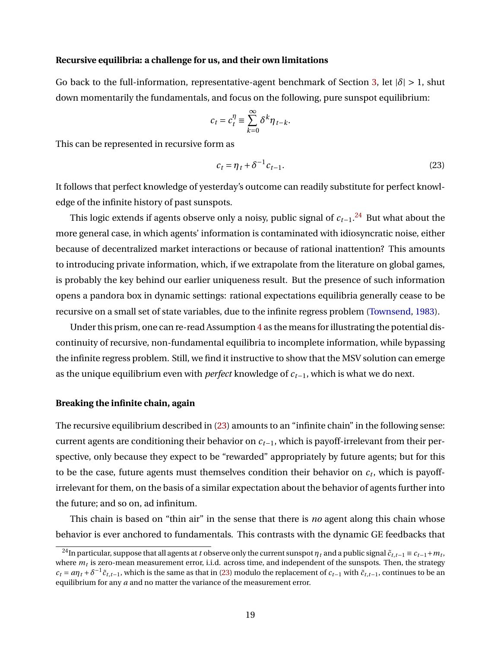#### **Recursive equilibria: a challenge for us, and their own limitations**

Go back to the full-information, representative-agent benchmark of Section [3,](#page-8-3) let  $|\delta| > 1$ , shut down momentarily the fundamentals, and focus on the following, pure sunspot equilibrium:

$$
c_t = c_t^{\eta} \equiv \sum_{k=0}^{\infty} \delta^k \eta_{t-k}.
$$

This can be represented in recursive form as

<span id="page-19-1"></span>
$$
c_t = \eta_t + \delta^{-1} c_{t-1}.\tag{23}
$$

It follows that perfect knowledge of yesterday's outcome can readily substitute for perfect knowledge of the infinite history of past sunspots.

This logic extends if agents observe only a noisy, public signal of *ct*−1. [24](#page-19-0) But what about the more general case, in which agents' information is contaminated with idiosyncratic noise, either because of decentralized market interactions or because of rational inattention? This amounts to introducing private information, which, if we extrapolate from the literature on global games, is probably the key behind our earlier uniqueness result. But the presence of such information opens a pandora box in dynamic settings: rational expectations equilibria generally cease to be recursive on a small set of state variables, due to the infinite regress problem [\(Townsend,](#page-39-10) [1983\)](#page-39-10).

Under this prism, one can re-read Assumption  $4$  as the means for illustrating the potential discontinuity of recursive, non-fundamental equilibria to incomplete information, while bypassing the infinite regress problem. Still, we find it instructive to show that the MSV solution can emerge as the unique equilibrium even with *perfect* knowledge of *ct*−1, which is what we do next.

#### **Breaking the infinite chain, again**

The recursive equilibrium described in [\(23\)](#page-19-1) amounts to an "infinite chain" in the following sense: current agents are conditioning their behavior on *ct*−1, which is payoff-irrelevant from their perspective, only because they expect to be "rewarded" appropriately by future agents; but for this to be the case, future agents must themselves condition their behavior on  $c_t$ , which is payoffirrelevant for them, on the basis of a similar expectation about the behavior of agents further into the future; and so on, ad infinitum.

This chain is based on "thin air" in the sense that there is *no* agent along this chain whose behavior is ever anchored to fundamentals. This contrasts with the dynamic GE feedbacks that

<span id="page-19-0"></span> $^{24}$ In particular, suppose that all agents at *t* observe only the current sunspot  $\eta$   $_t$  and a public signal  $\tilde c_{t,t-1}\equiv c_{t-1}+m_t,$ where  $m_t$  is zero-mean measurement error, i.i.d. across time, and independent of the sunspots. Then, the strategy  $c_t = a\eta_t + \delta^{-1}\tilde{c}_{t,t-1}$ , which is the same as that in [\(23\)](#page-19-1) modulo the replacement of  $c_{t-1}$  with  $\tilde{c}_{t,t-1}$ , continues to be an equilibrium for any *a* and no matter the variance of the measurement error.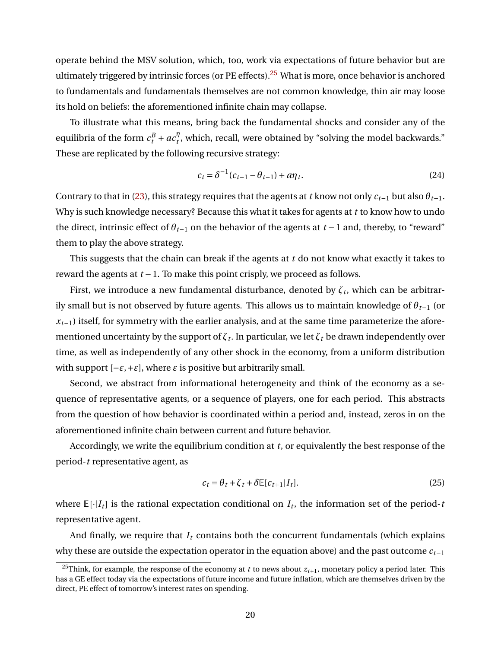operate behind the MSV solution, which, too, work via expectations of future behavior but are ultimately triggered by intrinsic forces (or PE effects).<sup>[25](#page-20-0)</sup> What is more, once behavior is anchored to fundamentals and fundamentals themselves are not common knowledge, thin air may loose its hold on beliefs: the aforementioned infinite chain may collapse.

To illustrate what this means, bring back the fundamental shocks and consider any of the equilibria of the form  $c_t^B + ac_t^{\eta}$  $t'$ , which, recall, were obtained by "solving the model backwards." These are replicated by the following recursive strategy:

$$
c_t = \delta^{-1} (c_{t-1} - \theta_{t-1}) + a\eta_t.
$$
 (24)

Contrary to that in [\(23\)](#page-19-1), this strategy requires that the agents at *t* know not only  $c_{t-1}$  but also  $\theta_{t-1}$ . Why is such knowledge necessary? Because this what it takes for agents at *t* to know how to undo the direct, intrinsic effect of  $\theta_{t-1}$  on the behavior of the agents at  $t-1$  and, thereby, to "reward" them to play the above strategy.

This suggests that the chain can break if the agents at *t* do not know what exactly it takes to reward the agents at *t* −1. To make this point crisply, we proceed as follows.

First, we introduce a new fundamental disturbance, denoted by  $\zeta_t$ , which can be arbitrarily small but is not observed by future agents. This allows us to maintain knowledge of *θt*−<sup>1</sup> (or  $x_{t-1}$ ) itself, for symmetry with the earlier analysis, and at the same time parameterize the aforementioned uncertainty by the support of  $\zeta_t.$  In particular, we let  $\zeta_t$  be drawn independently over time, as well as independently of any other shock in the economy, from a uniform distribution with support  $[-\varepsilon, +\varepsilon]$ , where  $\varepsilon$  is positive but arbitrarily small.

Second, we abstract from informational heterogeneity and think of the economy as a sequence of representative agents, or a sequence of players, one for each period. This abstracts from the question of how behavior is coordinated within a period and, instead, zeros in on the aforementioned infinite chain between current and future behavior.

Accordingly, we write the equilibrium condition at *t*, or equivalently the best response of the period-*t* representative agent, as

<span id="page-20-1"></span>
$$
c_t = \theta_t + \zeta_t + \delta \mathbb{E}[c_{t+1}|I_t].
$$
\n(25)

where  $\mathbb{E}[\cdot|I_t]$  is the rational expectation conditional on  $I_t$ , the information set of the period-t representative agent.

And finally, we require that  $I_t$  contains both the concurrent fundamentals (which explains why these are outside the expectation operator in the equation above) and the past outcome *ct*−<sup>1</sup>

<span id="page-20-0"></span><sup>&</sup>lt;sup>25</sup>Think, for example, the response of the economy at *t* to news about  $z_{t+1}$ , monetary policy a period later. This has a GE effect today via the expectations of future income and future inflation, which are themselves driven by the direct, PE effect of tomorrow's interest rates on spending.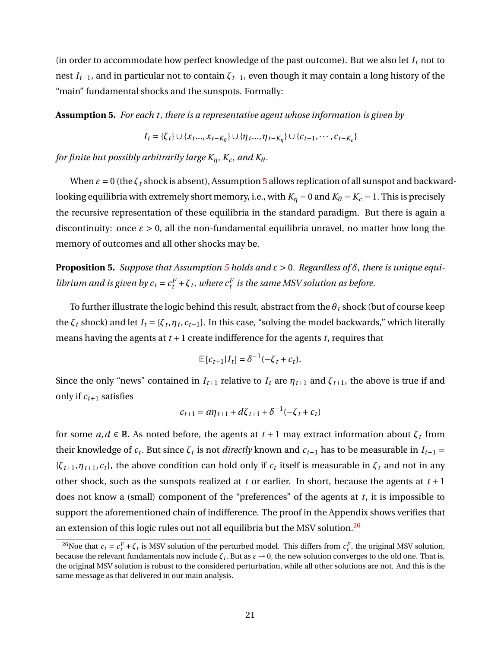(in order to accommodate how perfect knowledge of the past outcome). But we also let  $I_t$  not to nest *It*−1, and in particular not to contain *ζt*−1, even though it may contain a long history of the "main" fundamental shocks and the sunspots. Formally:

<span id="page-21-1"></span>**Assumption 5.** *For each t*, *there is a representative agent whose information is given by*

$$
I_t = \{\zeta_t\} \cup \{x_t, \ldots, x_{t-K_\theta}\} \cup \{\eta_t, \ldots, \eta_{t-K_\eta}\} \cup \{c_{t-1}, \cdots, c_{t-K_c}\}\
$$

*for finite but possibly arbitrarily large*  $K_n$ ,  $K_c$ , and  $K_\theta$ .

When  $\varepsilon = 0$  (the  $\zeta_t$  shock is absent), Assumption [5](#page-21-1) allows replication of all sunspot and backwardlooking equilibria with extremely short memory, i.e., with  $K_{\eta} = 0$  and  $K_{\theta} = K_c = 1$ . This is precisely the recursive representation of these equilibria in the standard paradigm. But there is again a discontinuity: once  $\varepsilon > 0$ , all the non-fundamental equilibria unravel, no matter how long the memory of outcomes and all other shocks may be.

<span id="page-21-0"></span>**Proposition [5](#page-21-1).** *Suppose that Assumption 5 holds and*  $\varepsilon > 0$ . *Regardless of*  $\delta$ , *there is unique equilibrium and is given by*  $c_t = c_t^F + \zeta_t$ *, where*  $c_t^F$  *is the same MSV solution as before.* 

To further illustrate the logic behind this result, abstract from the  $\theta_t$  shock (but of course keep the  $\zeta_t$  shock) and let  $I_t = \{\zeta_t, \eta_t, c_{t-1}\}\$ . In this case, "solving the model backwards," which literally means having the agents at *t* +1 create indifference for the agents *t*, requires that

$$
\mathbb{E}[c_{t+1}|I_t] = \delta^{-1}(-\zeta_t + c_t).
$$

Since the only "news" contained in  $I_{t+1}$  relative to  $I_t$  are  $\eta_{t+1}$  and  $\zeta_{t+1}$ , the above is true if and only if  $c_{t+1}$  satisfies

$$
c_{t+1} = a\eta_{t+1} + d\zeta_{t+1} + \delta^{-1}(-\zeta_t + c_t)
$$

for some  $a, d \in \mathbb{R}$ . As noted before, the agents at  $t + 1$  may extract information about  $\zeta_t$  from their knowledge of  $c_t$ . But since  $\zeta_t$  is not *directly* known and  $c_{t+1}$  has to be measurable in  $I_{t+1}$  =  $\{\zeta_{t+1}, \eta_{t+1}, c_t\}$ , the above condition can hold only if  $c_t$  itself is measurable in  $\zeta_t$  and not in any other shock, such as the sunspots realized at *t* or earlier. In short, because the agents at *t* + 1 does not know a (small) component of the "preferences" of the agents at *t*, it is impossible to support the aforementioned chain of indifference. The proof in the Appendix shows verifies that an extension of this logic rules out not all equilibria but the MSV solution.<sup>[26](#page-21-2)</sup>

<span id="page-21-2"></span><sup>&</sup>lt;sup>26</sup>Noe that  $c_t = c_t^F + \zeta_t$  is MSV solution of the perturbed model. This differs from  $c_t^F$ , the original MSV solution, because the relevant fundamentals now include  $\zeta_t$ . But as  $\varepsilon \to 0$ , the new solution converges to the old one. That is, the original MSV solution is robust to the considered perturbation, while all other solutions are not. And this is the same message as that delivered in our main analysis.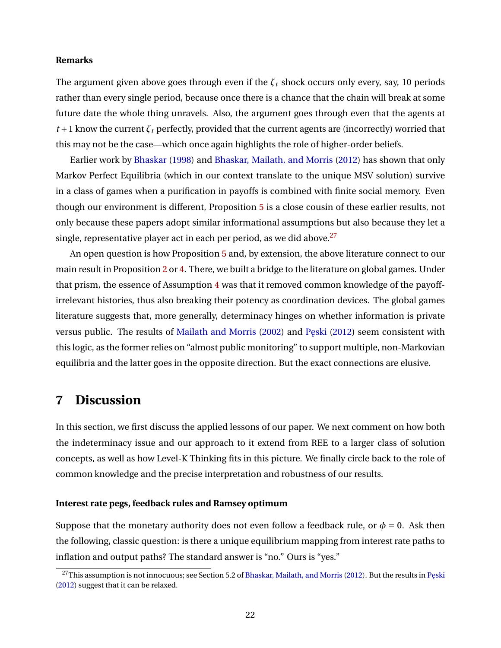### **Remarks**

The argument given above goes through even if the  $\zeta_t$  shock occurs only every, say, 10 periods rather than every single period, because once there is a chance that the chain will break at some future date the whole thing unravels. Also, the argument goes through even that the agents at  $t+1$  know the current  $\zeta_t$  perfectly, provided that the current agents are (incorrectly) worried that this may not be the case—which once again highlights the role of higher-order beliefs.

Earlier work by [Bhaskar](#page-36-4) [\(1998\)](#page-36-4) and [Bhaskar, Mailath, and Morris](#page-36-5) [\(2012\)](#page-36-5) has shown that only Markov Perfect Equilibria (which in our context translate to the unique MSV solution) survive in a class of games when a purification in payoffs is combined with finite social memory. Even though our environment is different, Proposition [5](#page-21-1) is a close cousin of these earlier results, not only because these papers adopt similar informational assumptions but also because they let a single, representative player act in each per period, as we did above.<sup>[27](#page-22-1)</sup>

An open question is how Proposition [5](#page-21-1) and, by extension, the above literature connect to our main result in Proposition [2](#page-12-0) or [4.](#page-18-2) There, we built a bridge to the literature on global games. Under that prism, the essence of Assumption [4](#page-11-3) was that it removed common knowledge of the payoffirrelevant histories, thus also breaking their potency as coordination devices. The global games literature suggests that, more generally, determinacy hinges on whether information is private versus public. The results of [Mailath and Morris](#page-38-15) [\(2002\)](#page-38-15) and Peski [\(2012\)](#page-39-11) seem consistent with this logic, as the former relies on "almost public monitoring" to support multiple, non-Markovian equilibria and the latter goes in the opposite direction. But the exact connections are elusive.

# <span id="page-22-0"></span>**7 Discussion**

In this section, we first discuss the applied lessons of our paper. We next comment on how both the indeterminacy issue and our approach to it extend from REE to a larger class of solution concepts, as well as how Level-K Thinking fits in this picture. We finally circle back to the role of common knowledge and the precise interpretation and robustness of our results.

### **Interest rate pegs, feedback rules and Ramsey optimum**

Suppose that the monetary authority does not even follow a feedback rule, or  $\phi = 0$ . Ask then the following, classic question: is there a unique equilibrium mapping from interest rate paths to inflation and output paths? The standard answer is "no." Ours is "yes."

<span id="page-22-1"></span> $^{27}$ This assumption is not innocuous; see Section 5.2 of [Bhaskar, Mailath, and Morris](#page-36-5) [\(2012\)](#page-36-5). But the results in Pęski [\(2012\)](#page-39-11) suggest that it can be relaxed.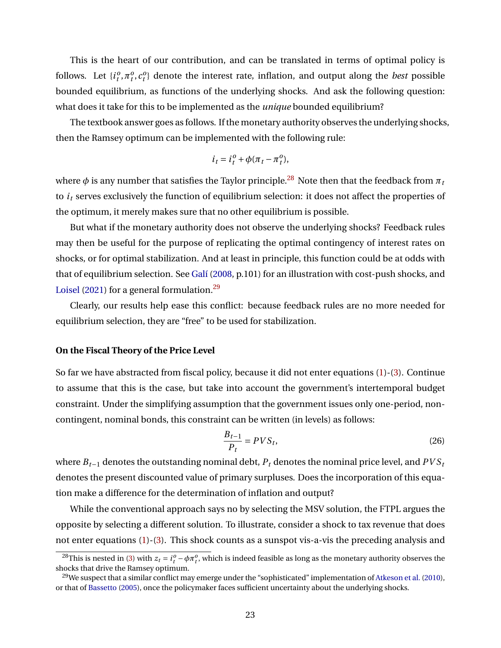This is the heart of our contribution, and can be translated in terms of optimal policy is follows. Let  $\{i_t^o, \pi_t^o, c_t^o\}$  denote the interest rate, inflation, and output along the *best* possible bounded equilibrium, as functions of the underlying shocks. And ask the following question: what does it take for this to be implemented as the *unique* bounded equilibrium?

The textbook answer goes as follows. If the monetary authority observes the underlying shocks, then the Ramsey optimum can be implemented with the following rule:

$$
i_t = i_t^o + \phi(\pi_t - \pi_t^o),
$$

where  $\phi$  is any number that satisfies the Taylor principle.<sup>[28](#page-23-0)</sup> Note then that the feedback from  $\pi_t$ to *i<sup>t</sup>* serves exclusively the function of equilibrium selection: it does not affect the properties of the optimum, it merely makes sure that no other equilibrium is possible.

But what if the monetary authority does not observe the underlying shocks? Feedback rules may then be useful for the purpose of replicating the optimal contingency of interest rates on shocks, or for optimal stabilization. And at least in principle, this function could be at odds with that of equilibrium selection. See [Galí](#page-37-2) [\(2008,](#page-37-2) p.101) for an illustration with cost-push shocks, and [Loisel](#page-38-6) [\(2021\)](#page-38-6) for a general formulation.<sup>[29](#page-23-1)</sup>

Clearly, our results help ease this conflict: because feedback rules are no more needed for equilibrium selection, they are "free" to be used for stabilization.

### **On the Fiscal Theory of the Price Level**

So far we have abstracted from fiscal policy, because it did not enter equations [\(1\)](#page-4-1)-[\(3\)](#page-5-1). Continue to assume that this is the case, but take into account the government's intertemporal budget constraint. Under the simplifying assumption that the government issues only one-period, noncontingent, nominal bonds, this constraint can be written (in levels) as follows:

<span id="page-23-2"></span>
$$
\frac{B_{t-1}}{P_t} = PVS_t,\tag{26}
$$

where *Bt*−<sup>1</sup> denotes the outstanding nominal debt, *P<sup>t</sup>* denotes the nominal price level, and *PV S<sup>t</sup>* denotes the present discounted value of primary surpluses. Does the incorporation of this equation make a difference for the determination of inflation and output?

While the conventional approach says no by selecting the MSV solution, the FTPL argues the opposite by selecting a different solution. To illustrate, consider a shock to tax revenue that does not enter equations [\(1\)](#page-4-1)-[\(3\)](#page-5-1). This shock counts as a sunspot vis-a-vis the preceding analysis and

<span id="page-23-0"></span><sup>&</sup>lt;sup>28</sup>This is nested in [\(3\)](#page-5-1) with  $z_t = i_t^o - \phi \pi_t^o$ , which is indeed feasible as long as the monetary authority observes the shocks that drive the Ramsey optimum.

<span id="page-23-1"></span><sup>&</sup>lt;sup>29</sup>We suspect that a similar conflict may emerge under the "sophisticated" implementation of [Atkeson et al.](#page-36-1) [\(2010\)](#page-36-1), or that of [Bassetto](#page-36-14) [\(2005\)](#page-36-14), once the policymaker faces sufficient uncertainty about the underlying shocks.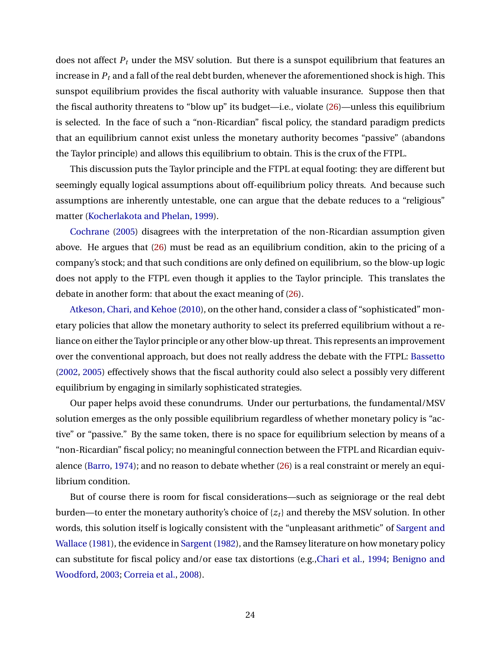does not affect *P<sup>t</sup>* under the MSV solution. But there is a sunspot equilibrium that features an increase in *P<sup>t</sup>* and a fall of the real debt burden, whenever the aforementioned shock is high. This sunspot equilibrium provides the fiscal authority with valuable insurance. Suppose then that the fiscal authority threatens to "blow up" its budget—i.e., violate [\(26\)](#page-23-2)—unless this equilibrium is selected. In the face of such a "non-Ricardian" fiscal policy, the standard paradigm predicts that an equilibrium cannot exist unless the monetary authority becomes "passive" (abandons the Taylor principle) and allows this equilibrium to obtain. This is the crux of the FTPL.

This discussion puts the Taylor principle and the FTPL at equal footing: they are different but seemingly equally logical assumptions about off-equilibrium policy threats. And because such assumptions are inherently untestable, one can argue that the debate reduces to a "religious" matter [\(Kocherlakota and Phelan,](#page-38-2) [1999\)](#page-38-2).

[Cochrane](#page-37-1) [\(2005\)](#page-37-1) disagrees with the interpretation of the non-Ricardian assumption given above. He argues that [\(26\)](#page-23-2) must be read as an equilibrium condition, akin to the pricing of a company's stock; and that such conditions are only defined on equilibrium, so the blow-up logic does not apply to the FTPL even though it applies to the Taylor principle. This translates the debate in another form: that about the exact meaning of [\(26\)](#page-23-2).

[Atkeson, Chari, and Kehoe](#page-36-1) [\(2010\)](#page-36-1), on the other hand, consider a class of "sophisticated" monetary policies that allow the monetary authority to select its preferred equilibrium without a reliance on either the Taylor principle or any other blow-up threat. This represents an improvement over the conventional approach, but does not really address the debate with the FTPL: [Bassetto](#page-36-0) [\(2002,](#page-36-0) [2005\)](#page-36-14) effectively shows that the fiscal authority could also select a possibly very different equilibrium by engaging in similarly sophisticated strategies.

Our paper helps avoid these conundrums. Under our perturbations, the fundamental/MSV solution emerges as the only possible equilibrium regardless of whether monetary policy is "active" or "passive." By the same token, there is no space for equilibrium selection by means of a "non-Ricardian" fiscal policy; no meaningful connection between the FTPL and Ricardian equivalence [\(Barro,](#page-36-15) [1974\)](#page-36-15); and no reason to debate whether [\(26\)](#page-23-2) is a real constraint or merely an equilibrium condition.

But of course there is room for fiscal considerations—such as seigniorage or the real debt burden—to enter the monetary authority's choice of {*zt*} and thereby the MSV solution. In other words, this solution itself is logically consistent with the "unpleasant arithmetic" of [Sargent and](#page-39-12) [Wallace](#page-39-12) [\(1981\)](#page-39-12), the evidence in [Sargent](#page-39-13) [\(1982\)](#page-39-13), and the Ramsey literature on how monetary policy can substitute for fiscal policy and/or ease tax distortions (e.g.[,Chari et al.,](#page-37-17) [1994;](#page-37-17) [Benigno and](#page-36-16) [Woodford,](#page-36-16) [2003;](#page-36-16) [Correia et al.,](#page-37-18) [2008\)](#page-37-18).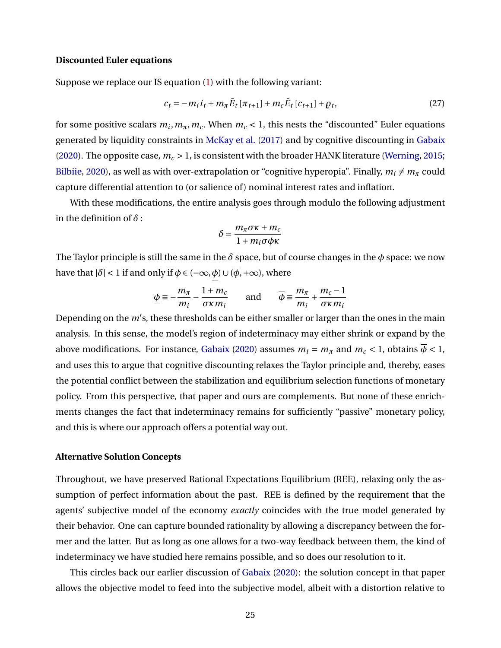#### **Discounted Euler equations**

Suppose we replace our IS equation [\(1\)](#page-4-1) with the following variant:

$$
c_t = -m_i i_t + m_{\pi} \bar{E}_t [\pi_{t+1}] + m_c \bar{E}_t [c_{t+1}] + \rho_t, \qquad (27)
$$

for some positive scalars  $m_i, m_\pi, m_c$ . When  $m_c < 1$ , this nests the "discounted" Euler equations generated by liquidity constraints in [McKay et al.](#page-38-16) [\(2017\)](#page-38-16) and by cognitive discounting in [Gabaix](#page-37-7) [\(2020\)](#page-37-7). The opposite case, *m<sup>c</sup>* > 1, is consistent with the broader HANK literature [\(Werning,](#page-39-14) [2015;](#page-39-14) [Bilbiie,](#page-36-17) [2020\)](#page-36-17), as well as with over-extrapolation or "cognitive hyperopia". Finally,  $m_i \neq m_\pi$  could capture differential attention to (or salience of) nominal interest rates and inflation.

With these modifications, the entire analysis goes through modulo the following adjustment in the definition of *δ* :

$$
\delta = \frac{m_{\pi}\sigma\kappa + m_c}{1 + m_i\sigma\phi\kappa}
$$

The Taylor principle is still the same in the *δ* space, but of course changes in the *φ* space: we now have that  $|\delta|$  < 1 if and only if  $\phi \in (-\infty, \phi) \cup (\overline{\phi}, +\infty)$ , where

$$
\underline{\phi} \equiv -\frac{m_{\pi}}{m_i} - \frac{1 + m_c}{\sigma \kappa m_i} \quad \text{and} \quad \overline{\phi} \equiv \frac{m_{\pi}}{m_i} + \frac{m_c - 1}{\sigma \kappa m_i}
$$

Depending on the *m'*s, these thresholds can be either smaller or larger than the ones in the main analysis. In this sense, the model's region of indeterminacy may either shrink or expand by the above modifications. For instance, [Gabaix](#page-37-7) [\(2020\)](#page-37-7) assumes  $m_i = m_\pi$  and  $m_c < 1$ , obtains  $\overline{\phi} < 1$ , and uses this to argue that cognitive discounting relaxes the Taylor principle and, thereby, eases the potential conflict between the stabilization and equilibrium selection functions of monetary policy. From this perspective, that paper and ours are complements. But none of these enrichments changes the fact that indeterminacy remains for sufficiently "passive" monetary policy, and this is where our approach offers a potential way out.

### **Alternative Solution Concepts**

Throughout, we have preserved Rational Expectations Equilibrium (REE), relaxing only the assumption of perfect information about the past. REE is defined by the requirement that the agents' subjective model of the economy *exactly* coincides with the true model generated by their behavior. One can capture bounded rationality by allowing a discrepancy between the former and the latter. But as long as one allows for a two-way feedback between them, the kind of indeterminacy we have studied here remains possible, and so does our resolution to it.

This circles back our earlier discussion of [Gabaix](#page-37-7) [\(2020\)](#page-37-7): the solution concept in that paper allows the objective model to feed into the subjective model, albeit with a distortion relative to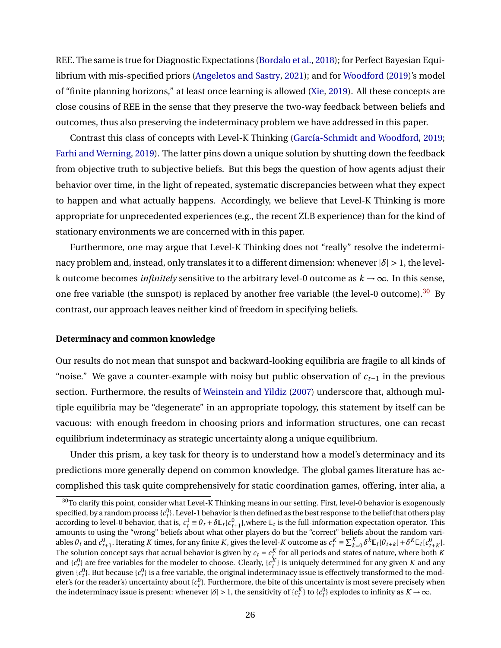REE. The same is true for Diagnostic Expectations [\(Bordalo et al.,](#page-36-6) [2018\)](#page-36-6); for Perfect Bayesian Equilibrium with mis-specified priors [\(Angeletos and Sastry,](#page-36-9) [2021\)](#page-36-9); and for [Woodford](#page-39-15) [\(2019\)](#page-39-15)'s model of "finite planning horizons," at least once learning is allowed [\(Xie,](#page-39-16) [2019\)](#page-39-16). All these concepts are close cousins of REE in the sense that they preserve the two-way feedback between beliefs and outcomes, thus also preserving the indeterminacy problem we have addressed in this paper.

Contrast this class of concepts with Level-K Thinking [\(García-Schmidt and Woodford,](#page-37-12) [2019;](#page-37-12) [Farhi and Werning,](#page-37-13) [2019\)](#page-37-13). The latter pins down a unique solution by shutting down the feedback from objective truth to subjective beliefs. But this begs the question of how agents adjust their behavior over time, in the light of repeated, systematic discrepancies between what they expect to happen and what actually happens. Accordingly, we believe that Level-K Thinking is more appropriate for unprecedented experiences (e.g., the recent ZLB experience) than for the kind of stationary environments we are concerned with in this paper.

Furthermore, one may argue that Level-K Thinking does not "really" resolve the indeterminacy problem and, instead, only translates it to a different dimension: whenever  $|\delta| > 1$ , the levelk outcome becomes *infinitely* sensitive to the arbitrary level-0 outcome as  $k \to \infty$ . In this sense, one free variable (the sunspot) is replaced by another free variable (the level-0 outcome).<sup>[30](#page-26-0)</sup> By contrast, our approach leaves neither kind of freedom in specifying beliefs.

#### **Determinacy and common knowledge**

Our results do not mean that sunspot and backward-looking equilibria are fragile to all kinds of "noise." We gave a counter-example with noisy but public observation of  $c_{t-1}$  in the previous section. Furthermore, the results of [Weinstein and Yildiz](#page-39-17) [\(2007\)](#page-39-17) underscore that, although multiple equilibria may be "degenerate" in an appropriate topology, this statement by itself can be vacuous: with enough freedom in choosing priors and information structures, one can recast equilibrium indeterminacy as strategic uncertainty along a unique equilibrium.

Under this prism, a key task for theory is to understand how a model's determinacy and its predictions more generally depend on common knowledge. The global games literature has accomplished this task quite comprehensively for static coordination games, offering, inter alia, a

<span id="page-26-0"></span> $30$ To clarify this point, consider what Level-K Thinking means in our setting. First, level-0 behavior is exogenously specified, by a random process  $\{c^0_t\}$ . Level-1 behavior is then defined as the best response to the belief that others play according to level-0 behavior, that is,  $c_t^1 \equiv \theta_t + \delta \mathbb{E}_t[c_{t+1}^0]$ , where  $\mathbb{E}_t$  is the full-information expectation operator. This amounts to using the "wrong" beliefs about what other players do but the "correct" beliefs about the random variables  $\theta_t$  and  $c_{t+1}^0$ . Iterating K times, for any finite K, gives the level-K outcome as  $c_t^K \equiv \sum_{k=0}^K \delta^k \mathbb{E}_t[\theta_{t+k}] + \delta^K \mathbb{E}_t[c_{t+K}^0]$ . The solution concept says that actual behavior is given by  $c_t = c_t^K$  for all periods and states of nature, where both *K* and  ${c_t^0}$  are free variables for the modeler to choose. Clearly,  ${c_t^K}$  is uniquely determined for any given *K* and any given  $\{c^0_t\}$ . But because  $\{c^0_t\}$  is a free variable, the original indeterminacy issue is effectively transformed to the modeler's (or the reader's) uncertainty about { $c_t^0$ }. Furthermore, the bite of this uncertainty is most severe precisely when the indeterminacy issue is present: whenever  $|\delta| > 1$ , the sensitivity of  $\{c_t^R\}$  to  $\{c_t^0\}$  explodes to infinity as  $K \to \infty$ .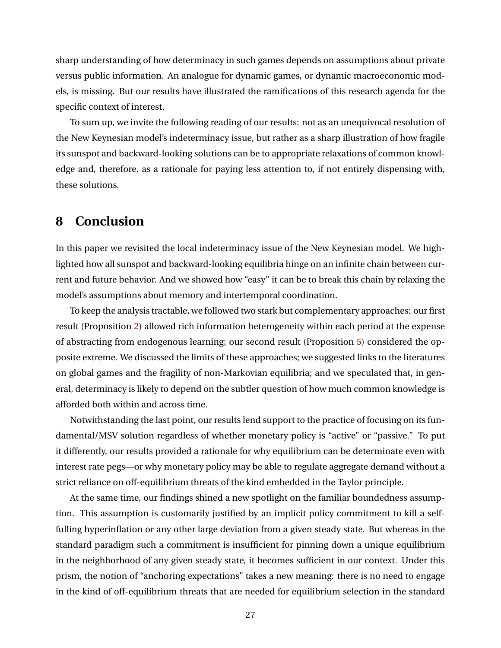sharp understanding of how determinacy in such games depends on assumptions about private versus public information. An analogue for dynamic games, or dynamic macroeconomic models, is missing. But our results have illustrated the ramifications of this research agenda for the specific context of interest.

To sum up, we invite the following reading of our results: not as an unequivocal resolution of the New Keynesian model's indeterminacy issue, but rather as a sharp illustration of how fragile its sunspot and backward-looking solutions can be to appropriate relaxations of common knowledge and, therefore, as a rationale for paying less attention to, if not entirely dispensing with, these solutions.

# **8 Conclusion**

In this paper we revisited the local indeterminacy issue of the New Keynesian model. We highlighted how all sunspot and backward-looking equilibria hinge on an infinite chain between current and future behavior. And we showed how "easy" it can be to break this chain by relaxing the model's assumptions about memory and intertemporal coordination.

To keep the analysis tractable, we followed two stark but complementary approaches: our first result (Proposition [2\)](#page-12-0) allowed rich information heterogeneity within each period at the expense of abstracting from endogenous learning; our second result (Proposition [5\)](#page-21-0) considered the opposite extreme. We discussed the limits of these approaches; we suggested links to the literatures on global games and the fragility of non-Markovian equilibria; and we speculated that, in general, determinacy is likely to depend on the subtler question of how much common knowledge is afforded both within and across time.

Notwithstanding the last point, our results lend support to the practice of focusing on its fundamental/MSV solution regardless of whether monetary policy is "active" or "passive." To put it differently, our results provided a rationale for why equilibrium can be determinate even with interest rate pegs—or why monetary policy may be able to regulate aggregate demand without a strict reliance on off-equilibrium threats of the kind embedded in the Taylor principle.

At the same time, our findings shined a new spotlight on the familiar boundedness assumption. This assumption is customarily justified by an implicit policy commitment to kill a selffulling hyperinflation or any other large deviation from a given steady state. But whereas in the standard paradigm such a commitment is insufficient for pinning down a unique equilibrium in the neighborhood of any given steady state, it becomes sufficient in our context. Under this prism, the notion of "anchoring expectations" takes a new meaning: there is no need to engage in the kind of off-equilibrium threats that are needed for equilibrium selection in the standard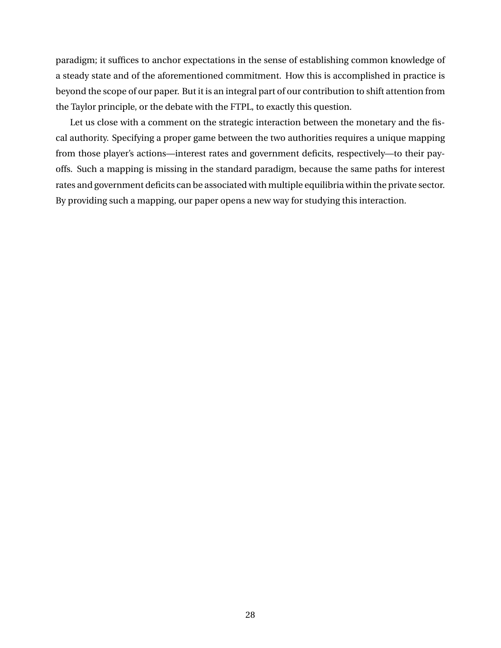paradigm; it suffices to anchor expectations in the sense of establishing common knowledge of a steady state and of the aforementioned commitment. How this is accomplished in practice is beyond the scope of our paper. But it is an integral part of our contribution to shift attention from the Taylor principle, or the debate with the FTPL, to exactly this question.

Let us close with a comment on the strategic interaction between the monetary and the fiscal authority. Specifying a proper game between the two authorities requires a unique mapping from those player's actions—interest rates and government deficits, respectively—to their payoffs. Such a mapping is missing in the standard paradigm, because the same paths for interest rates and government deficits can be associated with multiple equilibria within the private sector. By providing such a mapping, our paper opens a new way for studying this interaction.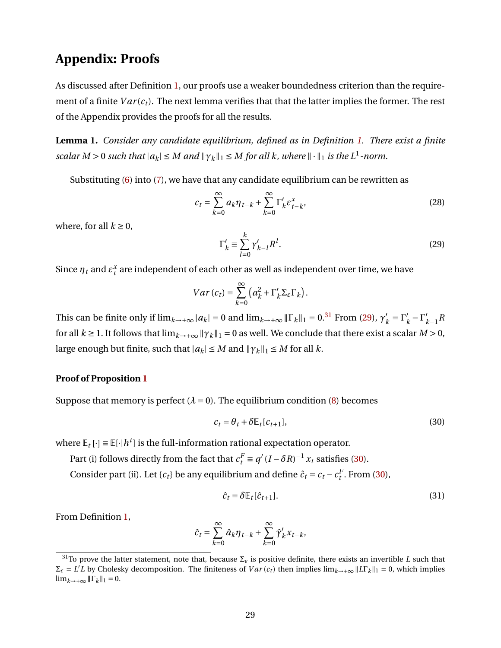# **Appendix: Proofs**

As discussed after Definition [1,](#page-7-1) our proofs use a weaker boundedness criterion than the requirement of a finite  $Var(c_t)$ . The next lemma verifies that that the latter implies the former. The rest of the Appendix provides the proofs for all the results.

<span id="page-29-5"></span>**Lemma 1.** *Consider any candidate equilibrium, defined as in Definition [1.](#page-7-1) There exist a finite scalar*  $M > 0$  *such that*  $|a_k| \leq M$  *and*  $\|\gamma_k\|_1 \leq M$  *for all k, where*  $\|\cdot\|_1$  *is the*  $L^1$ -norm.

Substituting [\(6\)](#page-6-3) into [\(7\)](#page-7-2), we have that any candidate equilibrium can be rewritten as

<span id="page-29-4"></span>
$$
c_t = \sum_{k=0}^{\infty} a_k \eta_{t-k} + \sum_{k=0}^{\infty} \Gamma'_k \varepsilon^x_{t-k},
$$
\n(28)

where, for all  $k \geq 0$ ,

<span id="page-29-1"></span>
$$
\Gamma'_k \equiv \sum_{l=0}^k \gamma'_{k-l} R^l.
$$
\n(29)

Since  $\eta_t$  and  $\varepsilon_t^x$  are independent of each other as well as independent over time, we have

$$
Var\left(c_{t}\right)=\sum_{k=0}^{\infty}\left(a_{k}^{2}+\Gamma_{k}^{\prime}\Sigma_{\varepsilon}\Gamma_{k}\right).
$$

This can be finite only if  $\lim_{k\to+\infty} |a_k| = 0$  and  $\lim_{k\to+\infty} \|\Gamma_k\|_1 = 0.^{31}$  $\lim_{k\to+\infty} \|\Gamma_k\|_1 = 0.^{31}$  $\lim_{k\to+\infty} \|\Gamma_k\|_1 = 0.^{31}$  From [\(29\)](#page-29-1),  $\gamma'_k$  $'_{k} = \Gamma'_{k}$  $\int_k' - \Gamma'_k$ *k*−1 *R* for all  $k \ge 1$ . It follows that  $\lim_{k \to +\infty} ||\gamma_k||_1 = 0$  as well. We conclude that there exist a scalar  $M > 0$ , large enough but finite, such that  $|a_k| \le M$  and  $||\gamma_k||_1 \le M$  for all *k*.

#### **Proof of Proposition [1](#page-9-3)**

Suppose that memory is perfect  $(\lambda = 0)$ . The equilibrium condition [\(8\)](#page-8-0) becomes

<span id="page-29-2"></span>
$$
c_t = \theta_t + \delta \mathbb{E}_t[c_{t+1}], \tag{30}
$$

where  $\mathbb{E}_t[\cdot] \equiv \mathbb{E}[\cdot|h^t]$  is the full-information rational expectation operator.

Part (i) follows directly from the fact that  $c_t^F \equiv q'(I - \delta R)^{-1} x_t$  satisfies [\(30\)](#page-29-2).

Consider part (ii). Let  $\{c_t\}$  be any equilibrium and define  $\hat{c}_t = c_t - c_t^F$ . From [\(30\)](#page-29-2),

<span id="page-29-3"></span>
$$
\hat{c}_t = \delta \mathbb{E}_t[\hat{c}_{t+1}].\tag{31}
$$

From Definition [1,](#page-7-1)

$$
\hat{c}_t = \sum_{k=0}^{\infty} \hat{a}_k \eta_{t-k} + \sum_{k=0}^{\infty} \hat{\gamma}'_k x_{t-k},
$$

<span id="page-29-0"></span><sup>&</sup>lt;sup>31</sup>To prove the latter statement, note that, because  $\Sigma_{\varepsilon}$  is positive definite, there exists an invertible *L* such that  $\Sigma_{\varepsilon} = L^{\prime}L$  by Cholesky decomposition. The finiteness of *Var* (*c<sub>t</sub>*) then implies lim<sub>*k*→+∞</sub>  $||LT_k||_1 = 0$ , which implies  $\lim_{k\to+\infty}$   $\|\Gamma_k\|_1 = 0$ .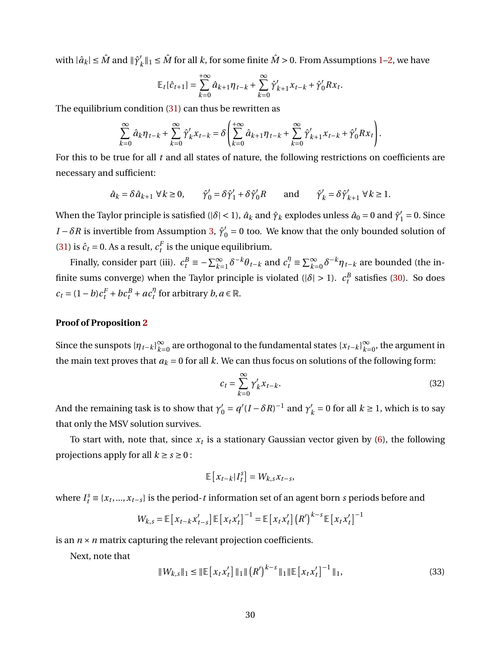with  $|\hat{a}_k| \leq \hat{M}$  and  $\|\hat{\gamma}'_k\|$  $k'$ <sub>k</sub> $||_1$  ≤  $\hat{M}$  for all  $k$ , for some finite  $\hat{M} > 0$ . From Assumptions [1–](#page-6-4)[2,](#page-7-3) we have

$$
\mathbb{E}_{t}[\hat{c}_{t+1}] = \sum_{k=0}^{+\infty} \hat{a}_{k+1} \eta_{t-k} + \sum_{k=0}^{\infty} \hat{\gamma}'_{k+1} x_{t-k} + \hat{\gamma}'_{0} R x_{t}.
$$

The equilibrium condition [\(31\)](#page-29-3) can thus be rewritten as

$$
\sum_{k=0}^{\infty} \hat{a}_k \eta_{t-k} + \sum_{k=0}^{\infty} \hat{\gamma}'_k x_{t-k} = \delta \left( \sum_{k=0}^{+\infty} \hat{a}_{k+1} \eta_{t-k} + \sum_{k=0}^{\infty} \hat{\gamma}'_{k+1} x_{t-k} + \hat{\gamma}'_0 R x_t \right).
$$

For this to be true for all *t* and all states of nature, the following restrictions on coefficients are necessary and sufficient:

$$
\hat{a}_k = \delta \hat{a}_{k+1} \ \forall \, k \ge 0, \qquad \hat{\gamma}'_0 = \delta \hat{\gamma}'_1 + \delta \hat{\gamma}'_0 R \qquad \text{and} \qquad \hat{\gamma}'_k = \delta \hat{\gamma}'_{k+1} \ \forall \, k \ge 1.
$$

When the Taylor principle is satisfied (| $\delta$ | < 1),  $\hat{a}_k$  and  $\hat{\gamma}_k$  explodes unless  $\hat{a}_0 = 0$  and  $\hat{\gamma}'_1 = 0$ . Since *I* −  $\delta R$  is invertible from Assumption [3,](#page-8-2)  $\hat{\gamma}'_0 = 0$  too. We know that the only bounded solution of [\(31\)](#page-29-3) is  $\hat{c}_t = 0$ . As a result,  $c_t^F$  is the unique equilibrium.

Finally, consider part (iii).  $c_t^B \equiv -\sum_{k=1}^{\infty} \delta^{-k} \theta_{t-k}$  and  $c_t^{\eta} \equiv \sum_{k=0}^{\infty} \delta^{-k} \eta_{t-k}$  are bounded (the infinite sums converge) when the Taylor principle is violated ( $|\delta| > 1$ ).  $c_t^B$  satisfies [\(30\)](#page-29-2). So does  $c_t = (1-b)c_t^F + bc_t^B + ac_t^{\eta}$  $\int_t^\eta$  for arbitrary *b*,  $a \in \mathbb{R}$ .

### **Proof of Proposition [2](#page-12-0)**

Since the sunspots  ${\{\eta_{t-k}\}}_{k=0}^{\infty}$ *k*=0 are orthogonal to the fundamental states {*xt*−*k*} ∞  $\sum_{k=0}^{\infty}$ , the argument in the main text proves that  $a_k = 0$  for all k. We can thus focus on solutions of the following form:

<span id="page-30-0"></span>
$$
c_t = \sum_{k=0}^{\infty} \gamma'_k x_{t-k}.
$$
\n(32)

And the remaining task is to show that  $\gamma_0' = q'(I - \delta R)^{-1}$  and  $\gamma_1'$  $k' = 0$  for all  $k \ge 1$ , which is to say that only the MSV solution survives.

To start with, note that, since  $x_t$  is a stationary Gaussian vector given by [\(6\)](#page-6-3), the following projections apply for all  $k \ge s \ge 0$ :

$$
\mathbb{E}\left[x_{t-k}|I_t^s\right] = W_{k,s}x_{t-s},
$$

where  $I_t^s \equiv \{x_t, ..., x_{t-s}\}\$  is the period-*t* information set of an agent born *s* periods before and

$$
W_{k,s} = \mathbb{E}\left[x_{t-k}x_{t-s}'\right]\mathbb{E}\left[x_{t}x_{t}'\right]^{-1} = \mathbb{E}\left[x_{t}x_{t}'\right]\left(R'\right)^{k-s}\mathbb{E}\left[x_{t}x_{t}'\right]^{-1}
$$

is an  $n \times n$  matrix capturing the relevant projection coefficients.

Next, note that

$$
||W_{k,s}||_1 \le ||E[x_t x_t']||_1 ||(R')^{k-s}||_1 ||E[x_t x_t']^{-1}||_1,
$$
\n(33)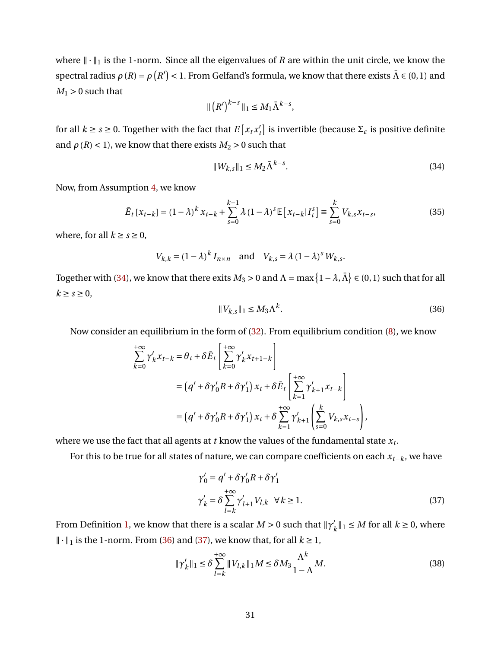where  $\|\cdot\|_1$  is the 1-norm. Since all the eigenvalues of *R* are within the unit circle, we know the spectral radius  $\rho(R) = \rho(R') < 1$ . From Gelfand's formula, we know that there exists  $\bar{\Lambda} \in (0,1)$  and  $M_1 > 0$  such that

$$
\| \left( R' \right)^{k-s} \|_1 \le M_1 \bar{\Lambda}^{k-s},
$$

for all  $k \ge s \ge 0$ . Together with the fact that  $E\left[x_t x_t\right]$  $\mathcal{L}_t$ ] is invertible (because Σ<sub>ε</sub> is positive definite and  $\rho$  (*R*) < 1), we know that there exists *M*<sub>2</sub> > 0 such that

<span id="page-31-0"></span>
$$
||W_{k,s}||_1 \le M_2 \bar{\Lambda}^{k-s}.
$$
\n(34)

Now, from Assumption [4,](#page-11-3) we know

<span id="page-31-3"></span>
$$
\bar{E}_t \left[ x_{t-k} \right] = (1 - \lambda)^k x_{t-k} + \sum_{s=0}^{k-1} \lambda (1 - \lambda)^s \mathbb{E} \left[ x_{t-k} | I_t^s \right] \equiv \sum_{s=0}^k V_{k,s} x_{t-s}, \tag{35}
$$

where, for all  $k \geq s \geq 0$ ,

 $V_{k,k} = (1 - \lambda)^k I_{n \times n}$  and  $V_{k,s} = \lambda (1 - \lambda)^s W_{k,s}$ .

Together with [\(34\)](#page-31-0), we know that there exits  $M_3 > 0$  and  $\Lambda = \max\big\{1-\lambda,\bar{\Lambda}\big\} \in (0,1)$  such that for all  $k \geq s \geq 0$ ,

<span id="page-31-1"></span>
$$
||V_{k,s}||_1 \le M_3 \Lambda^k. \tag{36}
$$

Now consider an equilibrium in the form of [\(32\)](#page-30-0). From equilibrium condition [\(8\)](#page-8-0), we know

$$
\sum_{k=0}^{+\infty} \gamma'_k x_{t-k} = \theta_t + \delta \bar{E}_t \left[ \sum_{k=0}^{+\infty} \gamma'_k x_{t+1-k} \right]
$$
  
=  $(q' + \delta \gamma'_0 R + \delta \gamma'_1) x_t + \delta \bar{E}_t \left[ \sum_{k=1}^{+\infty} \gamma'_{k+1} x_{t-k} \right]$   
=  $(q' + \delta \gamma'_0 R + \delta \gamma'_1) x_t + \delta \sum_{k=1}^{+\infty} \gamma'_{k+1} \left( \sum_{s=0}^k V_{k,s} x_{t-s} \right),$ 

where we use the fact that all agents at  $t$  know the values of the fundamental state  $x_t.$ 

For this to be true for all states of nature, we can compare coefficients on each *xt*−*k*, we have

<span id="page-31-2"></span>
$$
\gamma'_0 = q' + \delta \gamma'_0 R + \delta \gamma'_1
$$
  

$$
\gamma'_k = \delta \sum_{l=k}^{+\infty} \gamma'_{l+1} V_{l,k} \quad \forall k \ge 1.
$$
 (37)

From Definition [1,](#page-7-1) we know that there is a scalar  $M > 0$  such that  $\|\gamma\|$  $k'_{k}$ <sup> $||_1 \leq M$ </sup> for all  $k \geq 0$ , where  $\|\cdot\|_1$  is the 1-norm. From [\(36\)](#page-31-1) and [\(37\)](#page-31-2), we know that, for all *k* ≥ 1,

$$
\|\gamma'_{k}\|_{1} \leq \delta \sum_{l=k}^{+\infty} \|V_{l,k}\|_{1} M \leq \delta M_{3} \frac{\Lambda^{k}}{1-\Lambda} M. \tag{38}
$$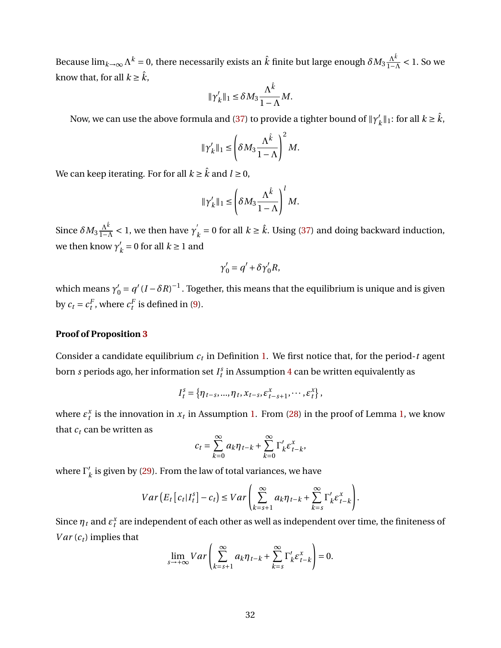Because  $\lim_{k\to\infty}\Lambda^k=0$ , there necessarily exists an  $\hat{k}$  finite but large enough  $\delta M_3\frac{\Lambda^{\hat{k}}}{1-\Lambda^{\hat{k}}}\,$  $\frac{\Lambda^k}{1-\Lambda}$  < 1. So we know that, for all  $k \geq \hat{k}$ ,

$$
\|\gamma'_{k}\|_{1} \leq \delta M_{3} \frac{\Lambda^{\hat{k}}}{1-\Lambda}M.
$$

Now, we can use the above formula and [\(37\)](#page-31-2) to provide a tighter bound of  $\Vert \gamma'_{\ell} \Vert$  $k'_{k}$ ||<sub>1</sub>: for all  $k \geq \hat{k}$ ,

$$
\|\gamma_k'\|_1 \le \left(\delta M_3 \frac{\Lambda^{\hat{k}}}{1-\Lambda}\right)^2 M.
$$

We can keep iterating. For for all  $k \geq \hat{k}$  and  $l \geq 0$ ,

$$
\|\gamma_k'\|_1 \le \left(\delta M_3 \frac{\Lambda^{\hat{k}}}{1-\Lambda}\right)^l M.
$$

Since  $\delta M_3 \frac{\Lambda^{\hat{k}}}{1-\Lambda}$  $\frac{\Lambda^{\hat{k}}}{1-\Lambda}$  < 1, we then have  $\gamma_{\stackrel{\scriptstyle \gamma}{\scriptstyle \beta}}'$  $k = 0$  for all  $k \ge \hat{k}$ . Using [\(37\)](#page-31-2) and doing backward induction, we then know  $\gamma'_{\rm i}$  $k = 0$  for all  $k \ge 1$  and

$$
\gamma_0' = q' + \delta \gamma_0' R,
$$

which means  $\gamma_0' = q'(I - \delta R)^{-1}$  . Together, this means that the equilibrium is unique and is given by  $c_t = c_t^F$ , where  $c_t^F$  is defined in [\(9\)](#page-8-1).

### **Proof of Proposition [3](#page-16-1)**

Consider a candidate equilibrium *c<sup>t</sup>* in Definition [1.](#page-7-1) We first notice that, for the period-*t* agent born  $s$  periods ago, her information set  $I_t^s$  in Assumption [4](#page-11-3) can be written equivalently as

$$
I_t^s = \{ \eta_{t-s}, ..., \eta_t, x_{t-s}, \varepsilon_{t-s+1}^x, \cdots, \varepsilon_t^x \},
$$

where  $\varepsilon_t^x$  is the innovation in  $x_t$  in Assumption [1.](#page-6-4) From [\(28\)](#page-29-4) in the proof of Lemma [1,](#page-29-5) we know that  $c_t$  can be written as

$$
c_t = \sum_{k=0}^{\infty} a_k \eta_{t-k} + \sum_{k=0}^{\infty} \Gamma'_k \varepsilon^x_{t-k},
$$

where  $\Gamma_i'$  $'_{k}$  is given by [\(29\)](#page-29-1). From the law of total variances, we have

$$
Var\left(E_t\left[c_t|I_t^s\right] - c_t\right) \leq Var\left(\sum_{k=s+1}^{\infty} a_k \eta_{t-k} + \sum_{k=s}^{\infty} \Gamma_k' \varepsilon_{t-k}^x\right).
$$

Since  $\eta_t$  and  $\varepsilon_t^x$  are independent of each other as well as independent over time, the finiteness of *Var*  $(c_t)$  implies that

$$
\lim_{s \to +\infty} Var\left(\sum_{k=s+1}^{\infty} a_k \eta_{t-k} + \sum_{k=s}^{\infty} \Gamma'_k \varepsilon^x_{t-k}\right) = 0.
$$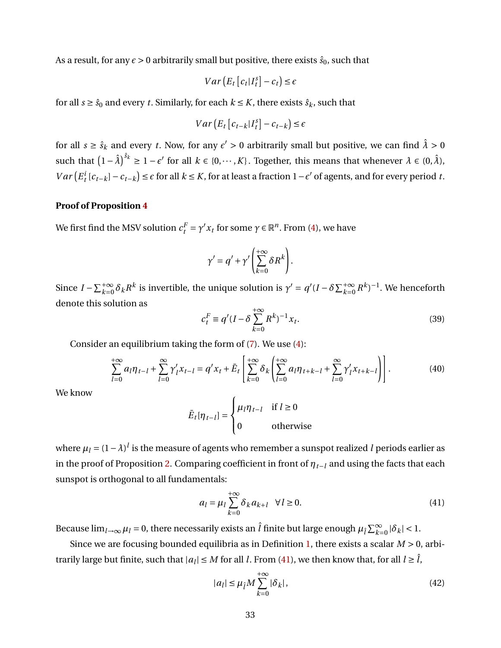As a result, for any  $\epsilon > 0$  arbitrarily small but positive, there exists  $\hat{s}_0$ , such that

$$
Var(E_t[C_t|I_t^s] - c_t) \le \epsilon
$$

for all  $s \geq \hat{s}_0$  and every *t*. Similarly, for each  $k \leq K$ , there exists  $\hat{s}_k$ , such that

$$
Var\left(E_t\left[c_{t-k}|I_t^s\right]-c_{t-k}\right)\leq \epsilon
$$

for all  $s \geq \hat{s}_k$  and every *t*. Now, for any  $\epsilon' > 0$  arbitrarily small but positive, we can find  $\hat{\lambda} > 0$ such that  $(1 - \hat{\lambda})^{\hat{s}_k} \ge 1 - \epsilon'$  for all  $k \in \{0, \dots, K\}$ . Together, this means that whenever  $\lambda \in (0, \hat{\lambda})$ ,  $Var(E_t^i[c_{t-k}] - c_{t-k}] \leq \epsilon$  for all  $k \leq K$ , for at least a fraction  $1 - \epsilon'$  of agents, and for every period *t*.

#### **Proof of Proposition [4](#page-18-2)**

We first find the MSV solution  $c_t^F = \gamma' x_t$  for some  $\gamma \in \mathbb{R}^n$ . From [\(4\)](#page-5-2), we have

$$
\gamma' = q' + \gamma' \left( \sum_{k=0}^{+\infty} \delta R^k \right).
$$

Since  $I - \sum_{k=0}^{+\infty} \delta_k R^k$  is invertible, the unique solution is  $\gamma' = q'(I - \delta \sum_{k=0}^{+\infty} R^k)^{-1}$ . We henceforth denote this solution as  $+\infty$ 

<span id="page-33-3"></span>
$$
c_t^F \equiv q'(I - \delta \sum_{k=0}^{+\infty} R^k)^{-1} x_t.
$$
 (39)

Consider an equilibrium taking the form of [\(7\)](#page-7-2). We use [\(4\)](#page-5-2):

<span id="page-33-2"></span>
$$
\sum_{l=0}^{+\infty} a_l \eta_{t-l} + \sum_{l=0}^{\infty} \gamma'_l x_{t-l} = q' x_t + \bar{E}_t \left[ \sum_{k=0}^{+\infty} \delta_k \left( \sum_{l=0}^{+\infty} a_l \eta_{t+k-l} + \sum_{l=0}^{\infty} \gamma'_l x_{t+k-l} \right) \right].
$$
 (40)

We know

$$
\bar{E}_t[\eta_{t-l}] = \begin{cases} \mu_l \eta_{t-l} & \text{if } l \ge 0\\ 0 & \text{otherwise} \end{cases}
$$

where  $\mu_l$  = (1 –  $\lambda$ ) $^l$  is the measure of agents who remember a sunspot realized  $l$  periods earlier as in the proof of Proposition [2.](#page-12-0) Comparing coefficient in front of  $\eta_{t-1}$  and using the facts that each sunspot is orthogonal to all fundamentals:

<span id="page-33-0"></span>
$$
a_l = \mu_l \sum_{k=0}^{+\infty} \delta_k a_{k+l} \quad \forall l \ge 0.
$$
 (41)

Because  $\lim_{l\to\infty}\mu_l=0$ , there necessarily exists an  $\hat{l}$  finite but large enough  $\mu_{\hat{l}}\sum_{k=0}^\infty|\delta_k|<1$ .

Since we are focusing bounded equilibria as in Definition [1,](#page-7-1) there exists a scalar *M* > 0, arbitrarily large but finite, such that  $|a_l| \leq M$  for all *l*. From [\(41\)](#page-33-0), we then know that, for all  $l \geq \hat{l}$ ,

<span id="page-33-1"></span>
$$
|a_l| \le \mu_{\hat{l}} M \sum_{k=0}^{+\infty} |\delta_k|,
$$
\n(42)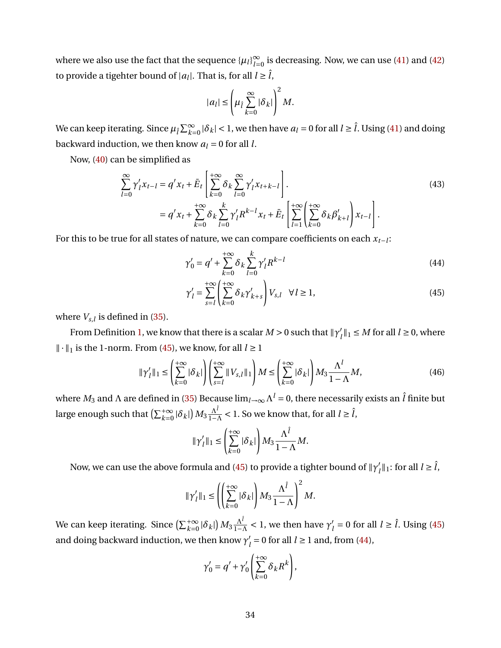where we also use the fact that the sequence  $\{\mu_l\}_{l=1}^\infty$  $\sum_{l=0}^{\infty}$  is decreasing. Now, we can use [\(41\)](#page-33-0) and [\(42\)](#page-33-1) to provide a tigehter bound of  $|a_l|$ . That is, for all  $l \geq \hat{l}$ ,

$$
|a_l| \leq \left(\mu_{\hat{l}} \sum_{k=0}^{\infty} |\delta_k|\right)^2 M.
$$

We can keep iterating. Since  $\mu_{\hat{l}}\sum_{k=0}^{\infty}|\delta_k|$  < 1, we then have  $a_l$  = 0 for all  $l\geq \hat{l}$ . Using [\(41\)](#page-33-0) and doing backward induction, we then know  $a_l = 0$  for all *l*.

Now, [\(40\)](#page-33-2) can be simplified as

$$
\sum_{l=0}^{\infty} \gamma'_{l} x_{t-l} = q' x_{t} + \bar{E}_{t} \left[ \sum_{k=0}^{+\infty} \delta_{k} \sum_{l=0}^{\infty} \gamma'_{l} x_{t+k-l} \right].
$$
\n
$$
= q' x_{t} + \sum_{k=0}^{+\infty} \delta_{k} \sum_{l=0}^{k} \gamma'_{l} R^{k-l} x_{t} + \bar{E}_{t} \left[ \sum_{l=1}^{+\infty} \left( \sum_{k=0}^{+\infty} \delta_{k} \beta'_{k+l} \right) x_{t-l} \right].
$$
\n(43)

For this to be true for all states of nature, we can compare coefficients on each *xt*−*<sup>l</sup>* :

<span id="page-34-1"></span>
$$
\gamma'_0 = q' + \sum_{k=0}^{+\infty} \delta_k \sum_{l=0}^k \gamma'_l R^{k-l}
$$
\n(44)

<span id="page-34-0"></span>
$$
\gamma'_{l} = \sum_{s=l}^{+\infty} \left( \sum_{k=0}^{+\infty} \delta_{k} \gamma'_{k+s} \right) V_{s,l} \quad \forall l \ge 1,
$$
\n(45)

where  $V_{s,l}$  is defined in [\(35\)](#page-31-3).

From Definition [1,](#page-7-1) we know that there is a scalar  $M > 0$  such that  $\|\gamma_n'\|$  $\ell_l^{\prime}$   $\parallel$  1  $\leq$  *M* for all  $l \geq$  0, where  $\| \cdot \|_1$  is the 1-norm. From [\(45\)](#page-34-0), we know, for all *l* ≥ 1

$$
\|\gamma'_l\|_1 \le \left(\sum_{k=0}^{+\infty} |\delta_k|\right) \left(\sum_{s=l}^{+\infty} \|V_{s,l}\|_1\right) M \le \left(\sum_{k=0}^{+\infty} |\delta_k|\right) M_3 \frac{\Lambda^l}{1-\Lambda} M,\tag{46}
$$

where  $M_3$  and  $\Lambda$  are defined in [\(35\)](#page-31-3) Because lim $_{l\to\infty}\Lambda^l$  = 0, there necessarily exists an  $\hat l$  finite but large enough such that  $\left(\sum_{k=0}^{+\infty} |\delta_k|\right)M_3\frac{\Lambda^{\hat l}}{1-\Lambda^{\hat l}}$  $\frac{\Lambda^l}{1-\Lambda}$  < 1. So we know that, for all  $l \geq \hat{l}$ ,

$$
\|\gamma'_l\|_1 \le \left(\sum_{k=0}^{+\infty} |\delta_k|\right) M_3 \frac{\Lambda^{\hat{l}}}{1-\Lambda} M.
$$

Now, we can use the above formula and [\(45\)](#page-34-0) to provide a tighter bound of  $\Vert \gamma'_{\ell} \Vert$  $\hat{l}_l$ <sup> $||_1$ </sup>: for all  $l \geq \hat{l}$ ,

$$
\|\gamma'_{l}\|_{1} \leq \left(\left(\sum_{k=0}^{+\infty} |\delta_{k}|\right) M_{3} \frac{\Lambda^{\hat{l}}}{1-\Lambda}\right)^{2} M.
$$

We can keep iterating. Since  $\left(\sum_{k=0}^{+\infty} |\delta_k|\right)M_3\frac{\Lambda^{\hat\ell}}{1-\ell}$  $\frac{\Lambda^l}{1-\Lambda}$  < 1, we then have  $\gamma'_{l}$  $l_l$  = 0 for all  $l \geq \hat{l}$ . Using [\(45\)](#page-34-0) and doing backward induction, we then know  $\gamma'_{\ell}$  $l_l$  = 0 for all  $l \ge 1$  and, from [\(44\)](#page-34-1),

$$
\gamma'_0 = q' + \gamma'_0 \left( \sum_{k=0}^{+\infty} \delta_k R^k \right),
$$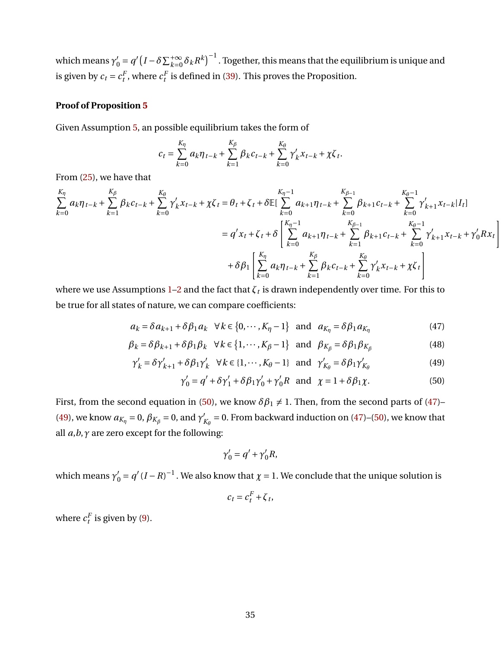which means  $\gamma'_0 = q'\left(I-\delta\sum_{k=0}^{+\infty}\delta_kR^k\right)^{-1}$  . Together, this means that the equilibrium is unique and is given by  $c_t = c_t^F$ , where  $c_t^F$  is defined in [\(39\)](#page-33-3). This proves the Proposition.

## **Proof of Proposition [5](#page-21-0)**

Given Assumption [5,](#page-21-1) an possible equilibrium takes the form of

$$
c_{t} = \sum_{k=0}^{K_{\eta}} a_{k} \eta_{t-k} + \sum_{k=1}^{K_{\beta}} \beta_{k} c_{t-k} + \sum_{k=0}^{K_{\theta}} \gamma'_{k} x_{t-k} + \chi \zeta_{t}.
$$

From [\(25\)](#page-20-1), we have that

$$
\sum_{k=0}^{K_{\eta}} a_k \eta_{t-k} + \sum_{k=1}^{K_{\beta}} \beta_k c_{t-k} + \sum_{k=0}^{K_{\theta}} \gamma'_k x_{t-k} + \chi \zeta_t = \theta_t + \zeta_t + \delta \mathbb{E}[\sum_{k=0}^{K_{\eta}-1} a_{k+1} \eta_{t-k} + \sum_{k=0}^{K_{\beta}-1} \beta_{k+1} c_{t-k} + \sum_{k=0}^{K_{\theta}-1} \gamma'_{k+1} x_{t-k} | I_t]
$$
  
\n
$$
= q' x_t + \zeta_t + \delta \left[ \sum_{k=0}^{K_{\eta}-1} a_{k+1} \eta_{t-k} + \sum_{k=1}^{K_{\beta}-1} \beta_{k+1} c_{t-k} + \sum_{k=0}^{K_{\theta}-1} \gamma'_{k+1} x_{t-k} + \gamma'_0 R x_t \right]
$$
  
\n
$$
+ \delta \beta_1 \left[ \sum_{k=0}^{K_{\eta}} a_k \eta_{t-k} + \sum_{k=1}^{K_{\beta}} \beta_k c_{t-k} + \sum_{k=0}^{K_{\theta}} \gamma'_k x_{t-k} + \chi \zeta_t \right]
$$

where we use Assumptions [1–](#page-6-4)[2](#page-7-3) and the fact that  $\zeta_t$  is drawn independently over time. For this to be true for all states of nature, we can compare coefficients:

$$
a_k = \delta a_{k+1} + \delta \beta_1 a_k \quad \forall \, k \in \{0, \cdots, K_\eta - 1\} \quad \text{and} \quad a_{K_\eta} = \delta \beta_1 a_{K_\eta} \tag{47}
$$

$$
\beta_k = \delta \beta_{k+1} + \delta \beta_1 \beta_k \quad \forall \, k \in \{1, \cdots, K_\beta - 1\} \quad \text{and} \quad \beta_{K_\beta} = \delta \beta_1 \beta_{K_\beta} \tag{48}
$$

$$
\gamma'_{k} = \delta \gamma'_{k+1} + \delta \beta_{1} \gamma'_{k} \quad \forall k \in \{1, \cdots, K_{\theta} - 1\} \quad \text{and} \quad \gamma'_{K_{\theta}} = \delta \beta_{1} \gamma'_{K_{\theta}}
$$
\n
$$
\tag{49}
$$

$$
\gamma'_0 = q' + \delta \gamma'_1 + \delta \beta_1 \gamma'_0 + \gamma'_0 R \text{ and } \chi = 1 + \delta \beta_1 \chi. \tag{50}
$$

First, from the second equation in [\(50\)](#page-35-0), we know  $\delta \beta_1 \neq 1$ . Then, from the second parts of [\(47\)](#page-35-1)– [\(49\)](#page-35-2), we know  $a_{K_{\eta}} = 0$ ,  $\beta_{K_{\beta}} = 0$ , and  $\gamma'_{\beta}$  $K_{\beta}$  = 0. From backward induction on [\(47\)](#page-35-1)–[\(50\)](#page-35-0), we know that all *a*,*b*,*γ* are zero except for the following:

<span id="page-35-2"></span><span id="page-35-1"></span><span id="page-35-0"></span>
$$
\gamma_0' = q' + \gamma_0' R,
$$

which means  $\gamma'_0 = q'(I - R)^{-1}$ . We also know that  $\chi = 1$ . We conclude that the unique solution is

$$
c_t = c_t^F + \zeta_t,
$$

where  $c_t^F$  is given by [\(9\)](#page-8-1).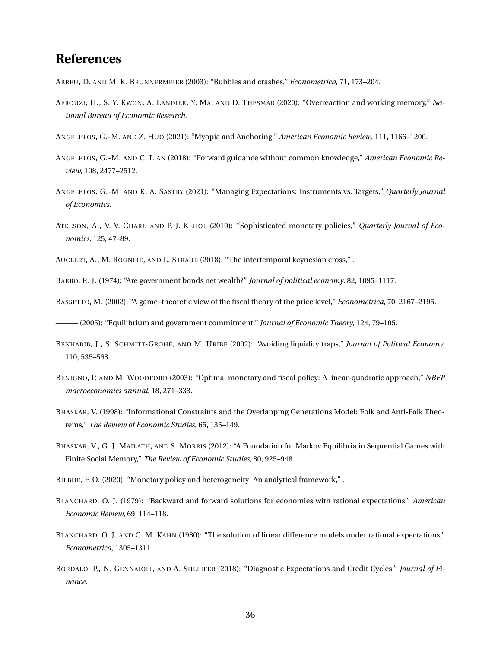# **References**

<span id="page-36-3"></span>ABREU, D. AND M. K. BRUNNERMEIER (2003): "Bubbles and crashes," *Econometrica*, 71, 173–204.

<span id="page-36-11"></span>AFROUZI, H., S. Y. KWON, A. LANDIER, Y. MA, AND D. THESMAR (2020): "Overreaction and working memory," *National Bureau of Economic Research*.

<span id="page-36-8"></span>ANGELETOS, G.-M. AND Z. HUO (2021): "Myopia and Anchoring," *American Economic Review*, 111, 1166–1200.

- <span id="page-36-7"></span>ANGELETOS, G.-M. AND C. LIAN (2018): "Forward guidance without common knowledge," *American Economic Review*, 108, 2477–2512.
- <span id="page-36-9"></span>ANGELETOS, G.-M. AND K. A. SASTRY (2021): "Managing Expectations: Instruments vs. Targets," *Quarterly Journal of Economics*.
- <span id="page-36-1"></span>ATKESON, A., V. V. CHARI, AND P. J. KEHOE (2010): "Sophisticated monetary policies," *Quarterly Journal of Economics*, 125, 47–89.

<span id="page-36-12"></span>AUCLERT, A., M. ROGNLIE, AND L. STRAUB (2018): "The intertemporal keynesian cross," .

<span id="page-36-15"></span>BARRO, R. J. (1974): "Are government bonds net wealth?" *Journal of political economy*, 82, 1095–1117.

<span id="page-36-0"></span>BASSETTO, M. (2002): "A game–theoretic view of the fiscal theory of the price level," *Econometrica*, 70, 2167–2195.

<span id="page-36-14"></span>——— (2005): "Equilibrium and government commitment," *Journal of Economic Theory*, 124, 79–105.

- <span id="page-36-2"></span>BENHABIB, J., S. SCHMITT-GROHÉ, AND M. URIBE (2002): "Avoiding liquidity traps," *Journal of Political Economy*, 110, 535–563.
- <span id="page-36-16"></span>BENIGNO, P. AND M. WOODFORD (2003): "Optimal monetary and fiscal policy: A linear-quadratic approach," *NBER macroeconomics annual*, 18, 271–333.
- <span id="page-36-4"></span>BHASKAR, V. (1998): "Informational Constraints and the Overlapping Generations Model: Folk and Anti-Folk Theorems," *The Review of Economic Studies*, 65, 135–149.
- <span id="page-36-5"></span>BHASKAR, V., G. J. MAILATH, AND S. MORRIS (2012): "A Foundation for Markov Equilibria in Sequential Games with Finite Social Memory," *The Review of Economic Studies*, 80, 925–948.
- <span id="page-36-17"></span>BILBIIE, F. O. (2020): "Monetary policy and heterogeneity: An analytical framework," .
- <span id="page-36-10"></span>BLANCHARD, O. J. (1979): "Backward and forward solutions for economies with rational expectations," *American Economic Review*, 69, 114–118.
- <span id="page-36-13"></span>BLANCHARD, O. J. AND C. M. KAHN (1980): "The solution of linear difference models under rational expectations," *Econometrica*, 1305–1311.
- <span id="page-36-6"></span>BORDALO, P., N. GENNAIOLI, AND A. SHLEIFER (2018): "Diagnostic Expectations and Credit Cycles," *Journal of Finance*.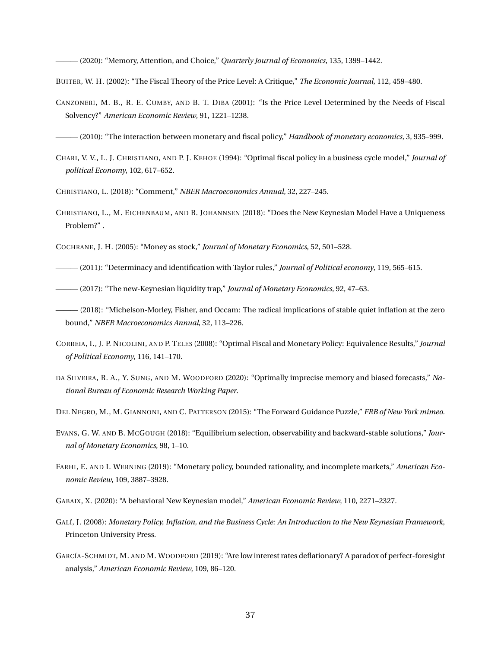<span id="page-37-15"></span>——— (2020): "Memory, Attention, and Choice," *Quarterly Journal of Economics*, 135, 1399–1442.

<span id="page-37-8"></span>BUITER, W. H. (2002): "The Fiscal Theory of the Price Level: A Critique," *The Economic Journal*, 112, 459–480.

<span id="page-37-9"></span>CANZONERI, M. B., R. E. CUMBY, AND B. T. DIBA (2001): "Is the Price Level Determined by the Needs of Fiscal Solvency?" *American Economic Review*, 91, 1221–1238.

<span id="page-37-5"></span>——— (2010): "The interaction between monetary and fiscal policy," *Handbook of monetary economics*, 3, 935–999.

<span id="page-37-17"></span>CHARI, V. V., L. J. CHRISTIANO, AND P. J. KEHOE (1994): "Optimal fiscal policy in a business cycle model," *Journal of polítical Economy*, 102, 617–652.

<span id="page-37-10"></span>CHRISTIANO, L. (2018): "Comment," *NBER Macroeconomics Annual*, 32, 227–245.

<span id="page-37-6"></span>CHRISTIANO, L., M. EICHENBAUM, AND B. JOHANNSEN (2018): "Does the New Keynesian Model Have a Uniqueness Problem?" .

<span id="page-37-1"></span>COCHRANE, J. H. (2005): "Money as stock," *Journal of Monetary Economics*, 52, 501–528.

<span id="page-37-0"></span>——— (2011): "Determinacy and identification with Taylor rules," *Journal of Political economy*, 119, 565–615.

<span id="page-37-3"></span>——— (2017): "The new-Keynesian liquidity trap," *Journal of Monetary Economics*, 92, 47–63.

- <span id="page-37-4"></span>——— (2018): "Michelson-Morley, Fisher, and Occam: The radical implications of stable quiet inflation at the zero bound," *NBER Macroeconomics Annual*, 32, 113–226.
- <span id="page-37-18"></span>CORREIA, I., J. P. NICOLINI, AND P. TELES (2008): "Optimal Fiscal and Monetary Policy: Equivalence Results," *Journal of Political Economy*, 116, 141–170.
- <span id="page-37-16"></span>DA SILVEIRA, R. A., Y. SUNG, AND M. WOODFORD (2020): "Optimally imprecise memory and biased forecasts," *National Bureau of Economic Research Working Paper*.

<span id="page-37-14"></span>DEL NEGRO, M., M. GIANNONI, AND C. PATTERSON (2015): "The Forward Guidance Puzzle," *FRB of New York mimeo*.

- <span id="page-37-11"></span>EVANS, G. W. AND B. MCGOUGH (2018): "Equilibrium selection, observability and backward-stable solutions," *Journal of Monetary Economics*, 98, 1–10.
- <span id="page-37-13"></span>FARHI, E. AND I. WERNING (2019): "Monetary policy, bounded rationality, and incomplete markets," *American Economic Review*, 109, 3887–3928.

<span id="page-37-7"></span>GABAIX, X. (2020): "A behavioral New Keynesian model," *American Economic Review*, 110, 2271–2327.

- <span id="page-37-2"></span>GALÍ, J. (2008): *Monetary Policy, Inflation, and the Business Cycle: An Introduction to the New Keynesian Framework*, Princeton University Press.
- <span id="page-37-12"></span>GARCÍA-SCHMIDT, M. AND M. WOODFORD (2019): "Are low interest rates deflationary? A paradox of perfect-foresight analysis," *American Economic Review*, 109, 86–120.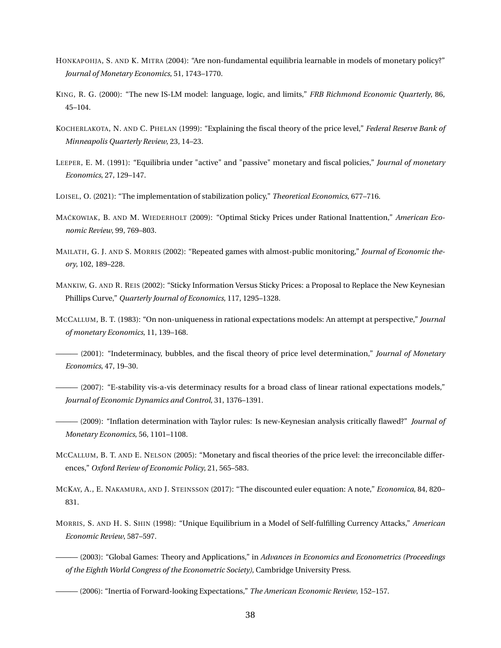- <span id="page-38-13"></span>HONKAPOHJA, S. AND K. MITRA (2004): "Are non-fundamental equilibria learnable in models of monetary policy?" *Journal of Monetary Economics*, 51, 1743–1770.
- <span id="page-38-1"></span>KING, R. G. (2000): "The new IS-LM model: language, logic, and limits," *FRB Richmond Economic Quarterly*, 86, 45–104.
- <span id="page-38-2"></span>KOCHERLAKOTA, N. AND C. PHELAN (1999): "Explaining the fiscal theory of the price level," *Federal Reserve Bank of Minneapolis Quarterly Review*, 23, 14–23.
- <span id="page-38-0"></span>LEEPER, E. M. (1991): "Equilibria under "active" and "passive" monetary and fiscal policies," *Journal of monetary Economics*, 27, 129–147.
- <span id="page-38-6"></span>LOISEL, O. (2021): "The implementation of stabilization policy," *Theoretical Economics*, 677–716.
- <span id="page-38-12"></span>MACKOWIAK, B. AND M. WIEDERHOLT (2009): "Optimal Sticky Prices under Rational Inattention," *American Economic Review*, 99, 769–803.
- <span id="page-38-15"></span>MAILATH, G. J. AND S. MORRIS (2002): "Repeated games with almost-public monitoring," *Journal of Economic theory*, 102, 189–228.
- <span id="page-38-11"></span>MANKIW, G. AND R. REIS (2002): "Sticky Information Versus Sticky Prices: a Proposal to Replace the New Keynesian Phillips Curve," *Quarterly Journal of Economics*, 117, 1295–1328.
- <span id="page-38-3"></span>MCCALLUM, B. T. (1983): "On non-uniqueness in rational expectations models: An attempt at perspective," *Journal of monetary Economics*, 11, 139–168.
- <span id="page-38-9"></span>——— (2001): "Indeterminacy, bubbles, and the fiscal theory of price level determination," *Journal of Monetary Economics*, 47, 19–30.
- <span id="page-38-8"></span>——— (2007): "E-stability vis-a-vis determinacy results for a broad class of linear rational expectations models," *Journal of Economic Dynamics and Control*, 31, 1376–1391.
- <span id="page-38-4"></span>——— (2009): "Inflation determination with Taylor rules: Is new-Keynesian analysis critically flawed?" *Journal of Monetary Economics*, 56, 1101–1108.
- <span id="page-38-10"></span>MCCALLUM, B. T. AND E. NELSON (2005): "Monetary and fiscal theories of the price level: the irreconcilable differences," *Oxford Review of Economic Policy*, 21, 565–583.
- <span id="page-38-16"></span>MCKAY, A., E. NAKAMURA, AND J. STEINSSON (2017): "The discounted euler equation: A note," *Economica*, 84, 820– 831.
- <span id="page-38-5"></span>MORRIS, S. AND H. S. SHIN (1998): "Unique Equilibrium in a Model of Self-fulfilling Currency Attacks," *American Economic Review*, 587–597.
- <span id="page-38-14"></span><span id="page-38-7"></span>——— (2003): "Global Games: Theory and Applications," in *Advances in Economics and Econometrics (Proceedings of the Eighth World Congress of the Econometric Society)*, Cambridge University Press.
	- ——— (2006): "Inertia of Forward-looking Expectations," *The American Economic Review*, 152–157.